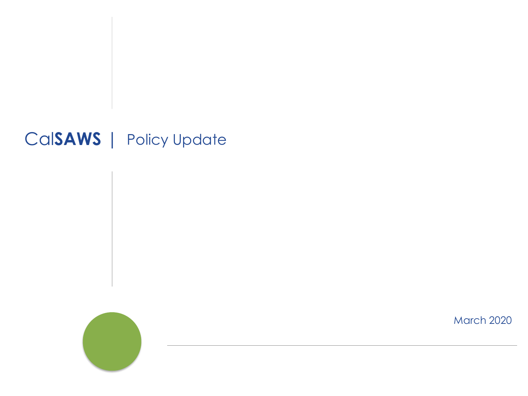#### Cal**SAWS** | Policy Update



March 2020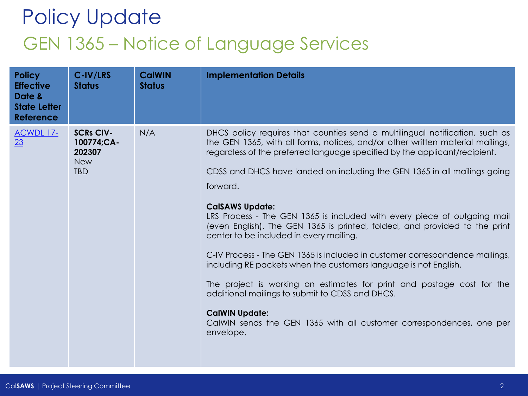## Policy Update GEN 1365 – Notice of Language Services

| <b>Policy</b><br><b>Effective</b><br>Date &<br><b>State Letter</b><br><b>Reference</b> | C-IV/LRS<br><b>Status</b>                                            | <b>CalWIN</b><br><b>Status</b> | <b>Implementation Details</b>                                                                                                                                                                                                                                                                                                                                                                                                                                                                                                                                                                                                                                                                                                                                                                                                                                                                                                                                       |
|----------------------------------------------------------------------------------------|----------------------------------------------------------------------|--------------------------------|---------------------------------------------------------------------------------------------------------------------------------------------------------------------------------------------------------------------------------------------------------------------------------------------------------------------------------------------------------------------------------------------------------------------------------------------------------------------------------------------------------------------------------------------------------------------------------------------------------------------------------------------------------------------------------------------------------------------------------------------------------------------------------------------------------------------------------------------------------------------------------------------------------------------------------------------------------------------|
| <b>ACWDL 17-</b><br>23                                                                 | <b>SCRs CIV-</b><br>100774;CA-<br>202307<br><b>New</b><br><b>TBD</b> | N/A                            | DHCS policy requires that counties send a multilingual notification, such as<br>the GEN 1365, with all forms, notices, and/or other written material mailings,<br>regardless of the preferred language specified by the applicant/recipient.<br>CDSS and DHCS have landed on including the GEN 1365 in all mailings going<br>forward.<br><b>CalSAWS Update:</b><br>LRS Process - The GEN 1365 is included with every piece of outgoing mail<br>(even English). The GEN 1365 is printed, folded, and provided to the print<br>center to be included in every mailing.<br>C-IV Process - The GEN 1365 is included in customer correspondence mailings,<br>including RE packets when the customers language is not English.<br>The project is working on estimates for print and postage cost for the<br>additional mailings to submit to CDSS and DHCS.<br><b>CalWIN Update:</b><br>CalWIN sends the GEN 1365 with all customer correspondences, one per<br>envelope. |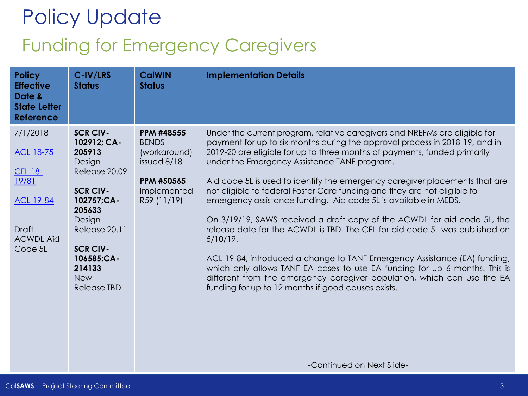## Policy Update Funding for Emergency Caregivers

| <b>Policy</b><br><b>Effective</b><br>Date &<br><b>State Letter</b><br><b>Reference</b>                                     | C-IV/LRS<br><b>Status</b>                                                                                                                                                                                                | <b>CalWIN</b><br><b>Status</b>                                                                        | <b>Implementation Details</b>                                                                                                                                                                                                                                                                                                                                                                                                                                                                                                                                                                                                                                                                                                                                                                                                                                                                                                                                                              |
|----------------------------------------------------------------------------------------------------------------------------|--------------------------------------------------------------------------------------------------------------------------------------------------------------------------------------------------------------------------|-------------------------------------------------------------------------------------------------------|--------------------------------------------------------------------------------------------------------------------------------------------------------------------------------------------------------------------------------------------------------------------------------------------------------------------------------------------------------------------------------------------------------------------------------------------------------------------------------------------------------------------------------------------------------------------------------------------------------------------------------------------------------------------------------------------------------------------------------------------------------------------------------------------------------------------------------------------------------------------------------------------------------------------------------------------------------------------------------------------|
| 7/1/2018<br><b>ACL 18-75</b><br><b>CFL 18-</b><br>19/81<br><b>ACL 19-84</b><br><b>Draft</b><br><b>ACWDL Aid</b><br>Code 5L | <b>SCR CIV-</b><br>102912; CA-<br>205913<br>Design<br>Release 20.09<br><b>SCR CIV-</b><br>102757;CA-<br>205633<br>Design<br>Release 20.11<br><b>SCR CIV-</b><br>106585;CA-<br>214133<br><b>New</b><br><b>Release TBD</b> | PPM #48555<br><b>BENDS</b><br>(workaround)<br>issued 8/18<br>PPM #50565<br>Implemented<br>R59 (11/19) | Under the current program, relative caregivers and NREFMs are eligible for<br>payment for up to six months during the approval process in 2018-19, and in<br>2019-20 are eligible for up to three months of payments, funded primarily<br>under the Emergency Assistance TANF program.<br>Aid code 5L is used to identify the emergency caregiver placements that are<br>not eligible to federal Foster Care funding and they are not eligible to<br>emergency assistance funding. Aid code 5L is available in MEDS.<br>On 3/19/19, SAWS received a draft copy of the ACWDL for aid code 5L, the<br>release date for the ACWDL is TBD. The CFL for aid code 5L was published on<br>$5/10/19$ .<br>ACL 19-84, introduced a change to TANF Emergency Assistance (EA) funding,<br>which only allows TANF EA cases to use EA funding for up 6 months. This is<br>different from the emergency caregiver population, which can use the EA<br>funding for up to 12 months if good causes exists. |
|                                                                                                                            |                                                                                                                                                                                                                          |                                                                                                       | -Continued on Next Slide-                                                                                                                                                                                                                                                                                                                                                                                                                                                                                                                                                                                                                                                                                                                                                                                                                                                                                                                                                                  |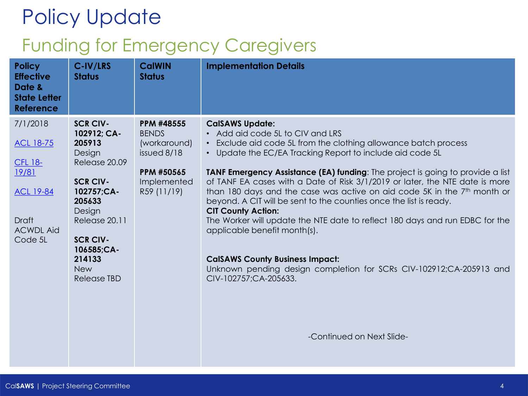### Funding for Emergency Caregivers

| <b>Policy</b><br><b>Effective</b><br>Date &<br><b>State Letter</b><br>Reference | C-IV/LRS<br><b>Status</b>     | <b>CalWIN</b><br><b>Status</b> | <b>Implementation Details</b>                                                                                                                  |
|---------------------------------------------------------------------------------|-------------------------------|--------------------------------|------------------------------------------------------------------------------------------------------------------------------------------------|
| 7/1/2018                                                                        | <b>SCR CIV-</b>               | PPM #48555                     | <b>CalSAWS Update:</b>                                                                                                                         |
|                                                                                 | 102912; CA-                   | <b>BENDS</b>                   | • Add aid code 5L to CIV and LRS                                                                                                               |
| <b>ACL 18-75</b>                                                                | 205913                        | (workaround)                   | • Exclude aid code 5L from the clothing allowance batch process                                                                                |
| <b>CFL 18-</b>                                                                  | Design<br>Release 20.09       | issued 8/18                    | • Update the EC/EA Tracking Report to include aid code 5L                                                                                      |
| 19/81                                                                           |                               | PPM #50565                     | TANF Emergency Assistance (EA) funding: The project is going to provide a list                                                                 |
|                                                                                 | <b>SCR CIV-</b>               | Implemented                    | of TANF EA cases with a Date of Risk 3/1/2019 or later, the NTE date is more                                                                   |
| <b>ACL 19-84</b>                                                                | 102757;CA-<br>205633          | R59 (11/19)                    | than 180 days and the case was active on aid code 5K in the 7th month or<br>beyond. A CIT will be sent to the counties once the list is ready. |
|                                                                                 | Design                        |                                | <b>CIT County Action:</b>                                                                                                                      |
| Draft                                                                           | Release 20.11                 |                                | The Worker will update the NTE date to reflect 180 days and run EDBC for the                                                                   |
| <b>ACWDL Aid</b>                                                                |                               |                                | applicable benefit month(s).                                                                                                                   |
| Code 5L                                                                         | <b>SCR CIV-</b><br>106585;CA- |                                |                                                                                                                                                |
|                                                                                 | 214133                        |                                | <b>CalSAWS County Business Impact:</b>                                                                                                         |
|                                                                                 | <b>New</b>                    |                                | Unknown pending design completion for SCRs CIV-102912;CA-205913 and                                                                            |
|                                                                                 | Release TBD                   |                                | CIV-102757;CA-205633.                                                                                                                          |
|                                                                                 |                               |                                |                                                                                                                                                |
|                                                                                 |                               |                                |                                                                                                                                                |
|                                                                                 |                               |                                |                                                                                                                                                |
|                                                                                 |                               |                                | -Continued on Next Slide-                                                                                                                      |
|                                                                                 |                               |                                |                                                                                                                                                |
|                                                                                 |                               |                                |                                                                                                                                                |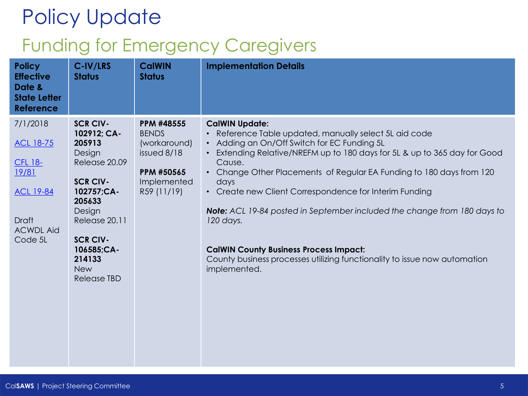### Funding for Emergency Caregivers

| <b>Policy</b><br><b>Effective</b><br>Date &<br><b>State Letter</b><br><b>Reference</b> | C-IV/LRS<br><b>Status</b>                                                   | <b>CalWIN</b><br><b>Status</b> | <b>Implementation Details</b>                                                                                                              |
|----------------------------------------------------------------------------------------|-----------------------------------------------------------------------------|--------------------------------|--------------------------------------------------------------------------------------------------------------------------------------------|
| 7/1/2018                                                                               | <b>SCR CIV-</b>                                                             | <b>PPM #48555</b>              | <b>CalWIN Update:</b>                                                                                                                      |
|                                                                                        | 102912; CA-                                                                 | <b>BENDS</b>                   | Reference Table updated, manually select 5L aid code<br>$\bullet$                                                                          |
| <b>ACL 18-75</b>                                                                       | 205913                                                                      | (workaround)                   | • Adding an On/Off Switch for EC Funding 5L                                                                                                |
|                                                                                        | Design<br>Release 20.09                                                     | issued 8/18                    | Extending Relative/NREFM up to 180 days for 5L & up to 365 day for Good<br>$\bullet$<br>Cause.                                             |
| <b>CFL 18-</b><br>19/81                                                                |                                                                             | PPM #50565                     | Change Other Placements of Regular EA Funding to 180 days from 120<br>$\bullet$                                                            |
|                                                                                        | <b>SCR CIV-</b>                                                             | Implemented                    | days                                                                                                                                       |
| <b>ACL 19-84</b>                                                                       | 102757;CA-                                                                  | R59 (11/19)                    | Create new Client Correspondence for Interim Funding<br>$\bullet$                                                                          |
|                                                                                        | 205633                                                                      |                                |                                                                                                                                            |
| <b>Draft</b>                                                                           | Design<br>Release 20.11                                                     |                                | <b>Note:</b> ACL 19-84 posted in September included the change from 180 days to<br>120 days.                                               |
| <b>ACWDL Aid</b>                                                                       |                                                                             |                                |                                                                                                                                            |
| Code 5L                                                                                | <b>SCR CIV-</b><br>106585;CA-<br>214133<br><b>New</b><br><b>Release TBD</b> |                                | <b>CalWIN County Business Process Impact:</b><br>County business processes utilizing functionality to issue now automation<br>implemented. |
|                                                                                        |                                                                             |                                |                                                                                                                                            |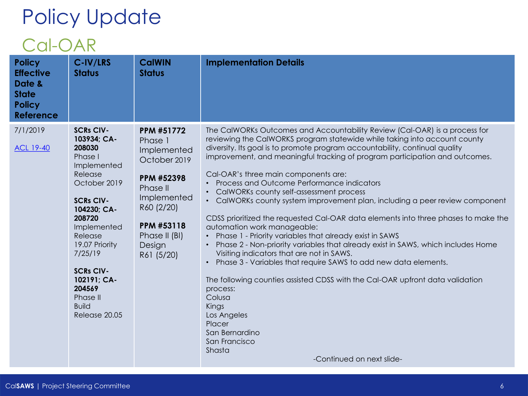#### Cal-OAR

| <b>Policy</b><br><b>Effective</b><br>Date &<br><b>State</b><br><b>Policy</b><br><b>Reference</b> | C-IV/LRS<br><b>Status</b>                                                                                                                                                                                                                                                                    | <b>CalWIN</b><br><b>Status</b>                                                                                                                                                   | <b>Implementation Details</b>                                                                                                                                                                                                                                                                                                                                                                                                                                                                                                                                                                                                                                                                                                                                                                                                                                                                                                                                                                                                                                                                                                                                       |
|--------------------------------------------------------------------------------------------------|----------------------------------------------------------------------------------------------------------------------------------------------------------------------------------------------------------------------------------------------------------------------------------------------|----------------------------------------------------------------------------------------------------------------------------------------------------------------------------------|---------------------------------------------------------------------------------------------------------------------------------------------------------------------------------------------------------------------------------------------------------------------------------------------------------------------------------------------------------------------------------------------------------------------------------------------------------------------------------------------------------------------------------------------------------------------------------------------------------------------------------------------------------------------------------------------------------------------------------------------------------------------------------------------------------------------------------------------------------------------------------------------------------------------------------------------------------------------------------------------------------------------------------------------------------------------------------------------------------------------------------------------------------------------|
| 7/1/2019<br><b>ACL 19-40</b>                                                                     | <b>SCRs CIV-</b><br>103934; CA-<br>208030<br>Phase I<br>Implemented<br>Release<br>October 2019<br><b>SCRs CIV-</b><br>104230; CA-<br>208720<br>Implemented<br>Release<br>19.07 Priority<br>7/25/19<br><b>SCRs CIV-</b><br>102191; CA-<br>204569<br>Phase II<br><b>Build</b><br>Release 20.05 | <b>PPM #51772</b><br>Phase 1<br>Implemented<br>October 2019<br>PPM #52398<br>Phase II<br>Implemented<br>R60 (2/20)<br><b>PPM #53118</b><br>Phase II (BI)<br>Design<br>R61 (5/20) | The CalWORKs Outcomes and Accountability Review (Cal-OAR) is a process for<br>reviewing the CalWORKS program statewide while taking into account county<br>diversity. Its goal is to promote program accountability, continual quality<br>improvement, and meaningful tracking of program participation and outcomes.<br>Cal-OAR's three main components are:<br>• Process and Outcome Performance indicators<br>CalWORKs county self-assessment process<br>• CalWORKs county system improvement plan, including a peer review component<br>CDSS prioritized the requested Cal-OAR data elements into three phases to make the<br>automation work manageable:<br>Phase 1 - Priority variables that already exist in SAWS<br>Phase 2 - Non-priority variables that already exist in SAWS, which includes Home<br>Visiting indicators that are not in SAWS.<br>Phase 3 - Variables that require SAWS to add new data elements.<br>$\bullet$<br>The following counties assisted CDSS with the Cal-OAR upfront data validation<br>process:<br>Colusa<br>Kings<br>Los Angeles<br><b>Placer</b><br>San Bernardino<br>San Francisco<br>Shasta<br>-Continued on next slide- |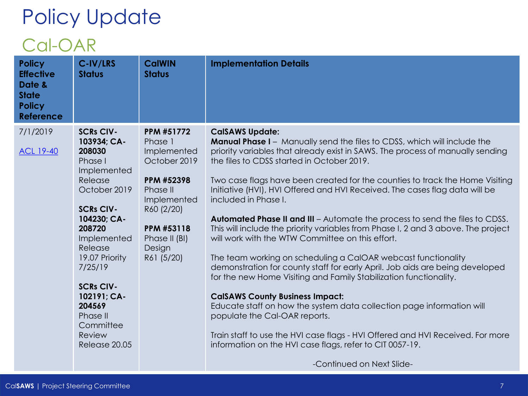#### Cal-OAR

| <b>Policy</b><br><b>Effective</b><br>Date &<br><b>State</b><br><b>Policy</b><br><b>Reference</b> | C-IV/LRS<br><b>Status</b>                                                                                                                                                                                                                                                                           | <b>CalWIN</b><br><b>Status</b>                                                                                                                                            | <b>Implementation Details</b>                                                                                                                                                                                                                                                                                                                                                                                                                                                                                                                                                                                                                                                                                                                                                                                                                                                                                                                                                                                                                                                                                                                                                                                         |
|--------------------------------------------------------------------------------------------------|-----------------------------------------------------------------------------------------------------------------------------------------------------------------------------------------------------------------------------------------------------------------------------------------------------|---------------------------------------------------------------------------------------------------------------------------------------------------------------------------|-----------------------------------------------------------------------------------------------------------------------------------------------------------------------------------------------------------------------------------------------------------------------------------------------------------------------------------------------------------------------------------------------------------------------------------------------------------------------------------------------------------------------------------------------------------------------------------------------------------------------------------------------------------------------------------------------------------------------------------------------------------------------------------------------------------------------------------------------------------------------------------------------------------------------------------------------------------------------------------------------------------------------------------------------------------------------------------------------------------------------------------------------------------------------------------------------------------------------|
| 7/1/2019<br><b>ACL 19-40</b>                                                                     | <b>SCRs CIV-</b><br>103934; CA-<br>208030<br>Phase I<br>Implemented<br>Release<br>October 2019<br><b>SCRs CIV-</b><br>104230; CA-<br>208720<br>Implemented<br>Release<br>19.07 Priority<br>7/25/19<br><b>SCRs CIV-</b><br>102191; CA-<br>204569<br>Phase II<br>Committee<br>Review<br>Release 20.05 | <b>PPM #51772</b><br>Phase 1<br>Implemented<br>October 2019<br>PPM #52398<br>Phase II<br>Implemented<br>R60 (2/20)<br>PPM #53118<br>Phase II (BI)<br>Design<br>R61 (5/20) | <b>CalSAWS Update:</b><br><b>Manual Phase I</b> - Manually send the files to CDSS, which will include the<br>priority variables that already exist in SAWS. The process of manually sending<br>the files to CDSS started in October 2019.<br>Two case flags have been created for the counties to track the Home Visiting<br>Initiative (HVI), HVI Offered and HVI Received. The cases flag data will be<br>included in Phase I.<br><b>Automated Phase II and III</b> – Automate the process to send the files to CDSS.<br>This will include the priority variables from Phase I, 2 and 3 above. The project<br>will work with the WTW Committee on this effort.<br>The team working on scheduling a CalOAR webcast functionality<br>demonstration for county staff for early April. Job aids are being developed<br>for the new Home Visiting and Family Stabilization functionality.<br><b>CalSAWS County Business Impact:</b><br>Educate staff on how the system data collection page information will<br>populate the Cal-OAR reports.<br>Train staff to use the HVI case flags - HVI Offered and HVI Received. For more<br>information on the HVI case flags, refer to CIT 0057-19.<br>-Continued on Next Slide- |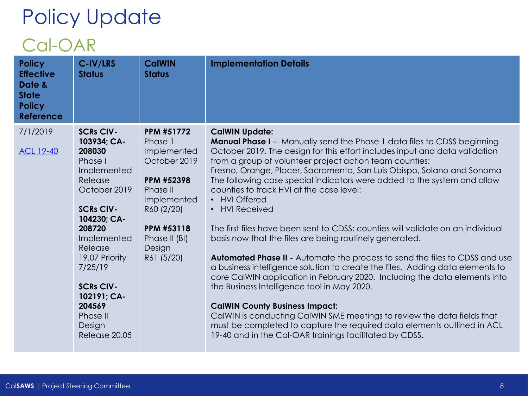#### Cal-OAR

| <b>Policy</b><br><b>Effective</b><br>Date &<br><b>State</b><br><b>Policy</b><br><b>Reference</b> | C-IV/LRS<br><b>Status</b>                                                                                                                                                                                                                                                              | <b>CalWIN</b><br><b>Status</b>                                                                                                                                            | <b>Implementation Details</b>                                                                                                                                                                                                                                                                                                                                                                                                                                                                                                                                                                                                                                                                                                                                                                                                                                                                                                                                                                                                                                                                                                                                                                                                   |
|--------------------------------------------------------------------------------------------------|----------------------------------------------------------------------------------------------------------------------------------------------------------------------------------------------------------------------------------------------------------------------------------------|---------------------------------------------------------------------------------------------------------------------------------------------------------------------------|---------------------------------------------------------------------------------------------------------------------------------------------------------------------------------------------------------------------------------------------------------------------------------------------------------------------------------------------------------------------------------------------------------------------------------------------------------------------------------------------------------------------------------------------------------------------------------------------------------------------------------------------------------------------------------------------------------------------------------------------------------------------------------------------------------------------------------------------------------------------------------------------------------------------------------------------------------------------------------------------------------------------------------------------------------------------------------------------------------------------------------------------------------------------------------------------------------------------------------|
| 7/1/2019<br><b>ACL 19-40</b>                                                                     | <b>SCRs CIV-</b><br>103934; CA-<br>208030<br>Phase I<br>Implemented<br>Release<br>October 2019<br><b>SCRs CIV-</b><br>104230; CA-<br>208720<br>Implemented<br>Release<br>19.07 Priority<br>7/25/19<br><b>SCRs CIV-</b><br>102191; CA-<br>204569<br>Phase II<br>Design<br>Release 20.05 | <b>PPM #51772</b><br>Phase 1<br>Implemented<br>October 2019<br>PPM #52398<br>Phase II<br>Implemented<br>R60 (2/20)<br>PPM #53118<br>Phase II (BI)<br>Design<br>R61 (5/20) | <b>CalWIN Update:</b><br><b>Manual Phase I</b> - Manually send the Phase 1 data files to CDSS beginning<br>October 2019. The design for this effort includes input and data validation<br>from a group of volunteer project action team counties:<br>Fresno, Orange, Placer, Sacramento, San Luis Obispo, Solano and Sonoma<br>The following case special indicators were added to the system and allow<br>counties to track HVI at the case level:<br><b>HVI Offered</b><br>$\bullet$<br><b>HVI Received</b><br>$\bullet$<br>The first files have been sent to CDSS; counties will validate on an individual<br>basis now that the files are being routinely generated.<br>Automated Phase II - Automate the process to send the files to CDSS and use<br>a business intelligence solution to create the files. Adding data elements to<br>core CalWIN application in February 2020. Including the data elements into<br>the Business Intelligence tool in May 2020.<br><b>CalWIN County Business Impact:</b><br>CalWIN is conducting CalWIN SME meetings to review the data fields that<br>must be completed to capture the required data elements outlined in ACL<br>19-40 and in the Cal-OAR trainings facilitated by CDSS. |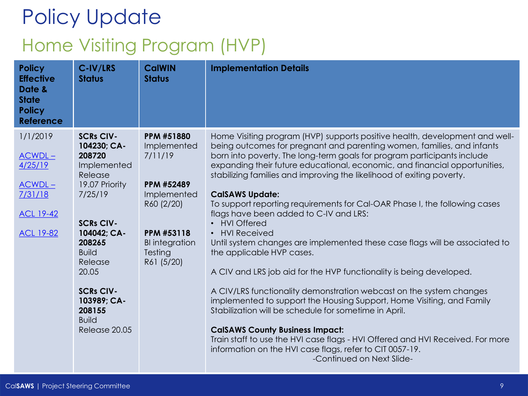#### Home Visiting Program (HVP)

| <b>Policy</b><br><b>Effective</b><br>Date &<br><b>State</b><br><b>Policy</b><br><b>Reference</b> | C-IV/LRS<br><b>Status</b>                                                                                                                                                                                                                                       | <b>CalWIN</b><br><b>Status</b>                                                                                                                                | <b>Implementation Details</b>                                                                                                                                                                                                                                                                                                                                                                                                                                                                                                                                                                                                                                                                                                                                                                                                                                                                                                                                                                                                                                                                                                                                                                                   |
|--------------------------------------------------------------------------------------------------|-----------------------------------------------------------------------------------------------------------------------------------------------------------------------------------------------------------------------------------------------------------------|---------------------------------------------------------------------------------------------------------------------------------------------------------------|-----------------------------------------------------------------------------------------------------------------------------------------------------------------------------------------------------------------------------------------------------------------------------------------------------------------------------------------------------------------------------------------------------------------------------------------------------------------------------------------------------------------------------------------------------------------------------------------------------------------------------------------------------------------------------------------------------------------------------------------------------------------------------------------------------------------------------------------------------------------------------------------------------------------------------------------------------------------------------------------------------------------------------------------------------------------------------------------------------------------------------------------------------------------------------------------------------------------|
| 1/1/2019<br>$ACWDL -$<br>4/25/19<br>$ACWDL -$<br>7/31/18<br><b>ACL 19-42</b><br><b>ACL 19-82</b> | <b>SCRs CIV-</b><br>104230; CA-<br>208720<br>Implemented<br>Release<br>19.07 Priority<br>7/25/19<br><b>SCRs CIV-</b><br>104042; CA-<br>208265<br><b>Build</b><br>Release<br>20.05<br><b>SCRs CIV-</b><br>103989; CA-<br>208155<br><b>Build</b><br>Release 20.05 | <b>PPM #51880</b><br>Implemented<br>7/11/19<br>PPM #52489<br>Implemented<br>R60 (2/20)<br><b>PPM #53118</b><br><b>BI</b> integration<br>Testing<br>R61 (5/20) | Home Visiting program (HVP) supports positive health, development and well-<br>being outcomes for pregnant and parenting women, families, and infants<br>born into poverty. The long-term goals for program participants include<br>expanding their future educational, economic, and financial opportunities,<br>stabilizing families and improving the likelihood of exiting poverty.<br><b>CalSAWS Update:</b><br>To support reporting requirements for Cal-OAR Phase I, the following cases<br>flags have been added to C-IV and LRS:<br>• HVI Offered<br><b>HVI Received</b><br>$\bullet$<br>Until system changes are implemented these case flags will be associated to<br>the applicable HVP cases.<br>A CIV and LRS job aid for the HVP functionality is being developed.<br>A CIV/LRS functionality demonstration webcast on the system changes<br>implemented to support the Housing Support, Home Visiting, and Family<br>Stabilization will be schedule for sometime in April.<br><b>CalSAWS County Business Impact:</b><br>Train staff to use the HVI case flags - HVI Offered and HVI Received. For more<br>information on the HVI case flags, refer to CIT 0057-19.<br>-Continued on Next Slide- |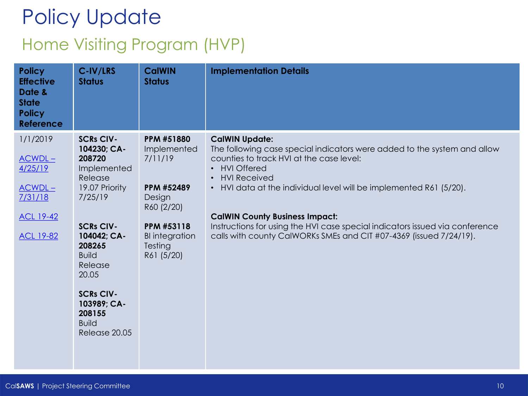# Policy Update Home Visiting Program (HVP)

| <b>Policy</b><br><b>Effective</b><br>Date &<br><b>State</b><br><b>Policy</b><br><b>Reference</b> | C-IV/LRS<br><b>Status</b>                                                     | <b>CalWIN</b><br><b>Status</b>                                      | <b>Implementation Details</b>                                                                                                                      |
|--------------------------------------------------------------------------------------------------|-------------------------------------------------------------------------------|---------------------------------------------------------------------|----------------------------------------------------------------------------------------------------------------------------------------------------|
| 1/1/2019                                                                                         | <b>SCRs CIV-</b><br>104230; CA-                                               | <b>PPM #51880</b><br>Implemented                                    | <b>CalWIN Update:</b><br>The following case special indicators were added to the system and allow                                                  |
| $ACWDL -$<br>4/25/19                                                                             | 208720<br>Implemented<br>Release                                              | 7/11/19                                                             | counties to track HVI at the case level:<br><b>HVI Offered</b><br>$\bullet$<br><b>HVI Received</b><br>$\bullet$                                    |
| $ACWDL -$<br>7/31/18                                                                             | 19.07 Priority<br>7/25/19                                                     | PPM #52489<br>Design                                                | • HVI data at the individual level will be implemented R61 (5/20).                                                                                 |
| <b>ACL 19-42</b>                                                                                 |                                                                               | R60 (2/20)                                                          | <b>CalWIN County Business Impact:</b>                                                                                                              |
| <b>ACL 19-82</b>                                                                                 | <b>SCRs CIV-</b><br>104042; CA-<br>208265<br><b>Build</b><br>Release<br>20.05 | <b>PPM #53118</b><br><b>BI</b> integration<br>Testing<br>R61 (5/20) | Instructions for using the HVI case special indicators issued via conference<br>calls with county CalWORKs SMEs and CIT #07-4369 (issued 7/24/19). |
|                                                                                                  | <b>SCRs CIV-</b><br>103989; CA-<br>208155<br><b>Build</b><br>Release 20.05    |                                                                     |                                                                                                                                                    |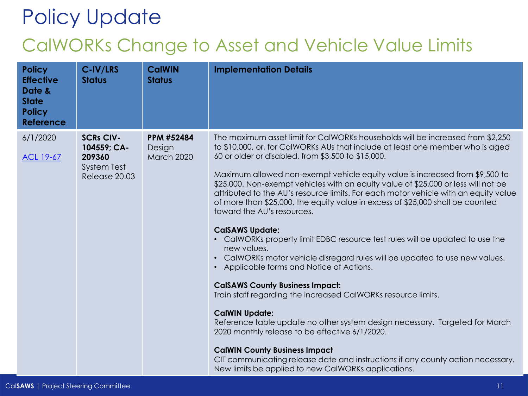#### CalWORKs Change to Asset and Vehicle Value Limits

| <b>Policy</b><br><b>Effective</b><br>Date &<br><b>State</b><br><b>Policy</b><br><b>Reference</b> | C-IV/LRS<br><b>Status</b>                                                        | <b>CalWIN</b><br><b>Status</b>            | <b>Implementation Details</b>                                                                                                                                                                                                                                                                                                                                                                                                                                                                                                                                                                                                                                                                                                                                                                                                                                                                                                                                                                                                                                                                                                                                                                                                                                                                                               |
|--------------------------------------------------------------------------------------------------|----------------------------------------------------------------------------------|-------------------------------------------|-----------------------------------------------------------------------------------------------------------------------------------------------------------------------------------------------------------------------------------------------------------------------------------------------------------------------------------------------------------------------------------------------------------------------------------------------------------------------------------------------------------------------------------------------------------------------------------------------------------------------------------------------------------------------------------------------------------------------------------------------------------------------------------------------------------------------------------------------------------------------------------------------------------------------------------------------------------------------------------------------------------------------------------------------------------------------------------------------------------------------------------------------------------------------------------------------------------------------------------------------------------------------------------------------------------------------------|
| 6/1/2020<br><b>ACL 19-67</b>                                                                     | <b>SCRs CIV-</b><br>104559; CA-<br>209360<br><b>System Test</b><br>Release 20.03 | <b>PPM #52484</b><br>Design<br>March 2020 | The maximum asset limit for CalWORKs households will be increased from \$2,250<br>to \$10,000, or, for CalWORKs AUs that include at least one member who is aged<br>60 or older or disabled, from \$3,500 to \$15,000.<br>Maximum allowed non-exempt vehicle equity value is increased from \$9,500 to<br>\$25,000. Non-exempt vehicles with an equity value of \$25,000 or less will not be<br>attributed to the AU's resource limits. For each motor vehicle with an equity value<br>of more than \$25,000, the equity value in excess of \$25,000 shall be counted<br>toward the AU's resources.<br><b>CalSAWS Update:</b><br>• CalWORKs property limit EDBC resource test rules will be updated to use the<br>new values.<br>CalWORKs motor vehicle disregard rules will be updated to use new values.<br>$\bullet$<br>• Applicable forms and Notice of Actions.<br><b>CalSAWS County Business Impact:</b><br>Train staff regarding the increased CalWORKs resource limits.<br><b>CalWIN Update:</b><br>Reference table update no other system design necessary. Targeted for March<br>2020 monthly release to be effective 6/1/2020.<br><b>CalWIN County Business Impact</b><br>CIT communicating release date and instructions if any county action necessary.<br>New limits be applied to new CalWORKs applications. |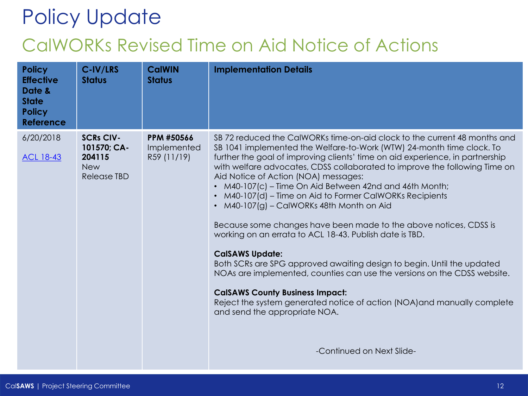### Policy Update CalWORKs Revised Time on Aid Notice of Actions

| <b>Policy</b><br><b>Effective</b><br>Date &<br><b>State</b><br><b>Policy</b><br><b>Reference</b> | C-IV/LRS<br><b>Status</b>                                              | <b>CalWIN</b><br><b>Status</b>                  | <b>Implementation Details</b>                                                                                                                                                                                                                                                                                                                                                                                                                                                                                                                                                                                                                                                                                                                                                                                                                                                                                                                                                                                            |
|--------------------------------------------------------------------------------------------------|------------------------------------------------------------------------|-------------------------------------------------|--------------------------------------------------------------------------------------------------------------------------------------------------------------------------------------------------------------------------------------------------------------------------------------------------------------------------------------------------------------------------------------------------------------------------------------------------------------------------------------------------------------------------------------------------------------------------------------------------------------------------------------------------------------------------------------------------------------------------------------------------------------------------------------------------------------------------------------------------------------------------------------------------------------------------------------------------------------------------------------------------------------------------|
| 6/20/2018<br><b>ACL 18-43</b>                                                                    | <b>SCRs CIV-</b><br>101570; CA-<br>204115<br><b>New</b><br>Release TBD | <b>PPM #50566</b><br>Implemented<br>R59 (11/19) | SB 72 reduced the CalWORKs time-on-aid clock to the current 48 months and<br>SB 1041 implemented the Welfare-to-Work (WTW) 24-month time clock. To<br>further the goal of improving clients' time on aid experience, in partnership<br>with welfare advocates, CDSS collaborated to improve the following Time on<br>Aid Notice of Action (NOA) messages:<br>M40-107(c) – Time On Aid Between 42nd and 46th Month;<br>M40-107(d) – Time on Aid to Former CalWORKs Recipients<br>$\bullet$<br>M40-107(g) - CalWORKs 48th Month on Aid<br>$\bullet$<br>Because some changes have been made to the above notices, CDSS is<br>working on an errata to ACL 18-43. Publish date is TBD.<br><b>CalSAWS Update:</b><br>Both SCRs are SPG approved awaiting design to begin. Until the updated<br>NOAs are implemented, counties can use the versions on the CDSS website.<br><b>CalSAWS County Business Impact:</b><br>Reject the system generated notice of action (NOA) and manually complete<br>and send the appropriate NOA. |
|                                                                                                  |                                                                        |                                                 | -Continued on Next Slide-                                                                                                                                                                                                                                                                                                                                                                                                                                                                                                                                                                                                                                                                                                                                                                                                                                                                                                                                                                                                |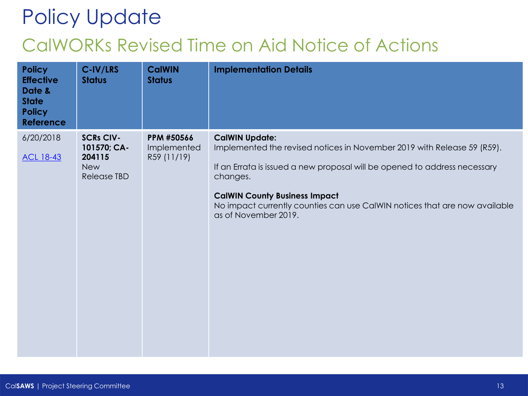### Policy Update CalWORKs Revised Time on Aid Notice of Actions

| <b>Policy</b><br><b>Effective</b><br>Date &<br><b>State</b><br><b>Policy</b><br><b>Reference</b> | C-IV/LRS<br><b>Status</b>                                              | <b>CalWIN</b><br><b>Status</b>           | <b>Implementation Details</b>                                                                                                                                                                                                                                                                                                           |
|--------------------------------------------------------------------------------------------------|------------------------------------------------------------------------|------------------------------------------|-----------------------------------------------------------------------------------------------------------------------------------------------------------------------------------------------------------------------------------------------------------------------------------------------------------------------------------------|
| 6/20/2018<br><b>ACL 18-43</b>                                                                    | <b>SCRs CIV-</b><br>101570; CA-<br>204115<br><b>New</b><br>Release TBD | PPM #50566<br>Implemented<br>R59 (11/19) | <b>CalWIN Update:</b><br>Implemented the revised notices in November 2019 with Release 59 (R59).<br>If an Errata is issued a new proposal will be opened to address necessary<br>changes.<br><b>CalWIN County Business Impact</b><br>No impact currently counties can use CalWIN notices that are now available<br>as of November 2019. |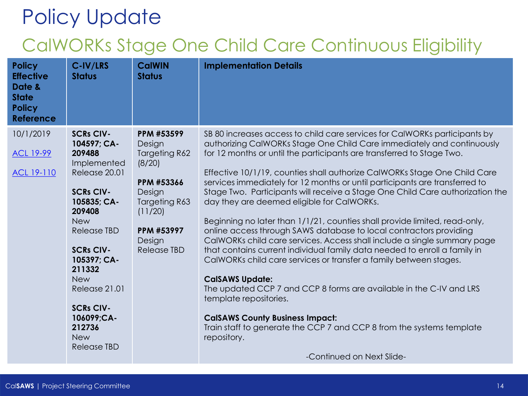#### CalWORKs Stage One Child Care Continuous Eligibility

| <b>Policy</b><br><b>Effective</b><br>Date &<br><b>State</b><br><b>Policy</b><br><b>Reference</b> | C-IV/LRS<br><b>Status</b> | <b>CalWIN</b><br><b>Status</b> | <b>Implementation Details</b>                                                                                                                  |
|--------------------------------------------------------------------------------------------------|---------------------------|--------------------------------|------------------------------------------------------------------------------------------------------------------------------------------------|
| 10/1/2019                                                                                        | <b>SCRs CIV-</b>          | PPM #53599                     | SB 80 increases access to child care services for CalWORKs participants by                                                                     |
|                                                                                                  | 104597; CA-<br>209488     | Design                         | authorizing CalWORKs Stage One Child Care immediately and continuously                                                                         |
| <b>ACL 19-99</b>                                                                                 | Implemented               | Targeting R62<br>(8/20)        | for 12 months or until the participants are transferred to Stage Two.                                                                          |
| ACL 19-110                                                                                       | Release 20.01             |                                | Effective 10/1/19, counties shall authorize CalWORKs Stage One Child Care                                                                      |
|                                                                                                  |                           | PPM #53366                     | services immediately for 12 months or until participants are transferred to                                                                    |
|                                                                                                  | <b>SCRs CIV-</b>          | Design                         | Stage Two. Participants will receive a Stage One Child Care authorization the                                                                  |
|                                                                                                  | 105835; CA-<br>209408     | Targeting R63<br>(11/20)       | day they are deemed eligible for CalWORKs.                                                                                                     |
|                                                                                                  | <b>New</b>                |                                | Beginning no later than 1/1/21, counties shall provide limited, read-only,                                                                     |
|                                                                                                  | <b>Release TBD</b>        | PPM #53997<br>Design           | online access through SAWS database to local contractors providing<br>CalWORKs child care services. Access shall include a single summary page |
|                                                                                                  | <b>SCRs CIV-</b>          | Release TBD                    | that contains current individual family data needed to enroll a family in                                                                      |
|                                                                                                  | 105397; CA-<br>211332     |                                | CalWORKs child care services or transfer a family between stages.                                                                              |
|                                                                                                  | <b>New</b>                |                                | <b>CalSAWS Update:</b>                                                                                                                         |
|                                                                                                  | Release 21.01             |                                | The updated CCP 7 and CCP 8 forms are available in the C-IV and LRS<br>template repositories.                                                  |
|                                                                                                  | <b>SCRs CIV-</b>          |                                |                                                                                                                                                |
|                                                                                                  | 106099;CA-                |                                | <b>CalSAWS County Business Impact:</b>                                                                                                         |
|                                                                                                  | 212736<br><b>New</b>      |                                | Train staff to generate the CCP 7 and CCP 8 from the systems template<br>repository.                                                           |
|                                                                                                  | <b>Release TBD</b>        |                                |                                                                                                                                                |
|                                                                                                  |                           |                                | -Continued on Next Slide-                                                                                                                      |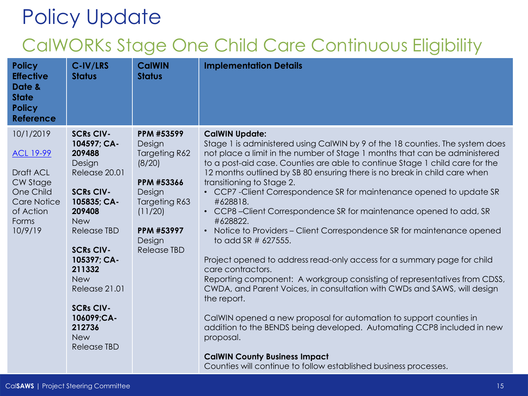#### CalWORKs Stage One Child Care Continuous Eligibility

| <b>Policy</b><br><b>Effective</b><br>Date &<br><b>State</b><br><b>Policy</b><br><b>Reference</b>                           | C-IV/LRS<br><b>Status</b>                                                                                                                                                                                                                                                                                         | <b>CalWIN</b><br><b>Status</b>                                                                                                                           | <b>Implementation Details</b>                                                                                                                                                                                                                                                                                                                                                                                                                                                                                                                                                                                                                                                                                                                                                                                                                                                                                                                                                                                                                                                                                                                                                                              |
|----------------------------------------------------------------------------------------------------------------------------|-------------------------------------------------------------------------------------------------------------------------------------------------------------------------------------------------------------------------------------------------------------------------------------------------------------------|----------------------------------------------------------------------------------------------------------------------------------------------------------|------------------------------------------------------------------------------------------------------------------------------------------------------------------------------------------------------------------------------------------------------------------------------------------------------------------------------------------------------------------------------------------------------------------------------------------------------------------------------------------------------------------------------------------------------------------------------------------------------------------------------------------------------------------------------------------------------------------------------------------------------------------------------------------------------------------------------------------------------------------------------------------------------------------------------------------------------------------------------------------------------------------------------------------------------------------------------------------------------------------------------------------------------------------------------------------------------------|
| 10/1/2019<br><b>ACL 19-99</b><br>Draft ACL<br>CW Stage<br>One Child<br><b>Care Notice</b><br>of Action<br>Forms<br>10/9/19 | <b>SCRs CIV-</b><br>104597; CA-<br>209488<br>Design<br>Release 20.01<br><b>SCRs CIV-</b><br>105835; CA-<br>209408<br><b>New</b><br><b>Release TBD</b><br><b>SCRs CIV-</b><br>105397; CA-<br>211332<br><b>New</b><br>Release 21.01<br><b>SCRs CIV-</b><br>106099;CA-<br>212736<br><b>New</b><br><b>Release TBD</b> | PPM #53599<br>Design<br><b>Targeting R62</b><br>(8/20)<br>PPM #53366<br>Design<br>Targeting R63<br>(11/20)<br>PPM #53997<br>Design<br><b>Release TBD</b> | <b>CalWIN Update:</b><br>Stage 1 is administered using CalWIN by 9 of the 18 counties. The system does<br>not place a limit in the number of Stage 1 months that can be administered<br>to a post-aid case. Counties are able to continue Stage 1 child care for the<br>12 months outlined by SB 80 ensuring there is no break in child care when<br>transitioning to Stage 2.<br>• CCP7 - Client Correspondence SR for maintenance opened to update SR<br>#628818.<br>• CCP8-Client Correspondence SR for maintenance opened to add, SR<br>#628822.<br>• Notice to Providers - Client Correspondence SR for maintenance opened<br>to add SR $\#$ 627555.<br>Project opened to address read-only access for a summary page for child<br>care contractors.<br>Reporting component: A workgroup consisting of representatives from CDSS,<br>CWDA, and Parent Voices, in consultation with CWDs and SAWS, will design<br>the report.<br>CalWIN opened a new proposal for automation to support counties in<br>addition to the BENDS being developed. Automating CCP8 included in new<br>proposal.<br><b>CalWIN County Business Impact</b><br>Counties will continue to follow established business processes. |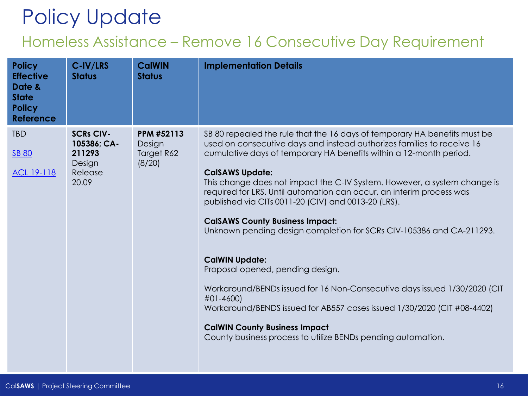#### Homeless Assistance – Remove 16 Consecutive Day Requirement

| <b>Policy</b><br><b>Effective</b><br>Date &<br><b>State</b><br><b>Policy</b><br><b>Reference</b> | C-IV/LRS<br><b>Status</b>                                               | <b>CalWIN</b><br><b>Status</b>                      | <b>Implementation Details</b>                                                                                                                                                                                                                                                                                                                                                                                                                                                                                                                                                                                                                                                                                                                                                                                                                                                                                              |
|--------------------------------------------------------------------------------------------------|-------------------------------------------------------------------------|-----------------------------------------------------|----------------------------------------------------------------------------------------------------------------------------------------------------------------------------------------------------------------------------------------------------------------------------------------------------------------------------------------------------------------------------------------------------------------------------------------------------------------------------------------------------------------------------------------------------------------------------------------------------------------------------------------------------------------------------------------------------------------------------------------------------------------------------------------------------------------------------------------------------------------------------------------------------------------------------|
| <b>TBD</b><br><b>SB 80</b><br><u>ACL 19-118</u>                                                  | <b>SCRs CIV-</b><br>105386; CA-<br>211293<br>Design<br>Release<br>20.09 | <b>PPM #52113</b><br>Design<br>Target R62<br>(8/20) | SB 80 repealed the rule that the 16 days of temporary HA benefits must be<br>used on consecutive days and instead authorizes families to receive 16<br>cumulative days of temporary HA benefits within a 12-month period.<br><b>CalSAWS Update:</b><br>This change does not impact the C-IV System. However, a system change is<br>required for LRS. Until automation can occur, an interim process was<br>published via CITs 0011-20 (CIV) and 0013-20 (LRS).<br><b>CalSAWS County Business Impact:</b><br>Unknown pending design completion for SCRs CIV-105386 and CA-211293.<br><b>CalWIN Update:</b><br>Proposal opened, pending design.<br>Workaround/BENDs issued for 16 Non-Consecutive days issued 1/30/2020 (CIT<br>#01-4600)<br>Workaround/BENDS issued for AB557 cases issued 1/30/2020 (CIT #08-4402)<br><b>CalWIN County Business Impact</b><br>County business process to utilize BENDs pending automation. |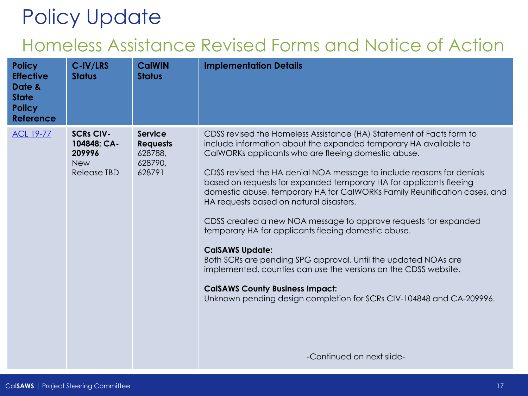#### Homeless Assistance Revised Forms and Notice of Action

| <b>Policy</b><br><b>Effective</b><br>Date &<br><b>State</b><br><b>Policy</b><br><b>Reference</b> | C-IV/LRS<br><b>Status</b>                                              | <b>CalWIN</b><br><b>Status</b>                                    | <b>Implementation Details</b>                                                                                                                                                                                                                                                                                                                                                                                                                                                                                                                                                                                                                                                                                                                                                                                                                                                                                  |
|--------------------------------------------------------------------------------------------------|------------------------------------------------------------------------|-------------------------------------------------------------------|----------------------------------------------------------------------------------------------------------------------------------------------------------------------------------------------------------------------------------------------------------------------------------------------------------------------------------------------------------------------------------------------------------------------------------------------------------------------------------------------------------------------------------------------------------------------------------------------------------------------------------------------------------------------------------------------------------------------------------------------------------------------------------------------------------------------------------------------------------------------------------------------------------------|
| <b>ACL 19-77</b>                                                                                 | <b>SCRs CIV-</b><br>104848; CA-<br>209996<br><b>New</b><br>Release TBD | <b>Service</b><br><b>Requests</b><br>628788,<br>628790,<br>628791 | CDSS revised the Homeless Assistance (HA) Statement of Facts form to<br>include information about the expanded temporary HA available to<br>CalWORKs applicants who are fleeing domestic abuse.<br>CDSS revised the HA denial NOA message to include reasons for denials<br>based on requests for expanded temporary HA for applicants fleeing<br>domestic abuse, temporary HA for CalWORKs Family Reunification cases, and<br>HA requests based on natural disasters.<br>CDSS created a new NOA message to approve requests for expanded<br>temporary HA for applicants fleeing domestic abuse.<br><b>CalSAWS Update:</b><br>Both SCRs are pending SPG approval. Until the updated NOAs are<br>implemented, counties can use the versions on the CDSS website.<br><b>CalSAWS County Business Impact:</b><br>Unknown pending design completion for SCRs CIV-104848 and CA-209996.<br>-Continued on next slide- |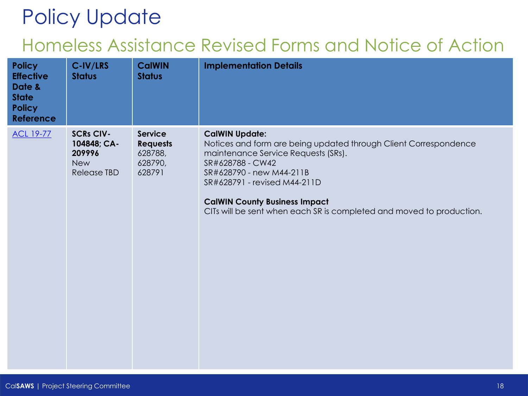#### Homeless Assistance Revised Forms and Notice of Action

| <b>Policy</b><br><b>Effective</b><br>Date &<br><b>State</b><br><b>Policy</b><br><b>Reference</b> | C-IV/LRS<br><b>Status</b>                                              | <b>CalWIN</b><br><b>Status</b>                                    | <b>Implementation Details</b>                                                                                                                                                                                                                                                                                                    |
|--------------------------------------------------------------------------------------------------|------------------------------------------------------------------------|-------------------------------------------------------------------|----------------------------------------------------------------------------------------------------------------------------------------------------------------------------------------------------------------------------------------------------------------------------------------------------------------------------------|
| <b>ACL 19-77</b>                                                                                 | <b>SCRs CIV-</b><br>104848; CA-<br>209996<br><b>New</b><br>Release TBD | <b>Service</b><br><b>Requests</b><br>628788,<br>628790,<br>628791 | <b>CalWIN Update:</b><br>Notices and form are being updated through Client Correspondence<br>maintenance Service Requests (SRs).<br>SR#628788 - CW42<br>SR#628790 - new M44-211B<br>SR#628791 - revised M44-211D<br><b>CalWIN County Business Impact</b><br>CITs will be sent when each SR is completed and moved to production. |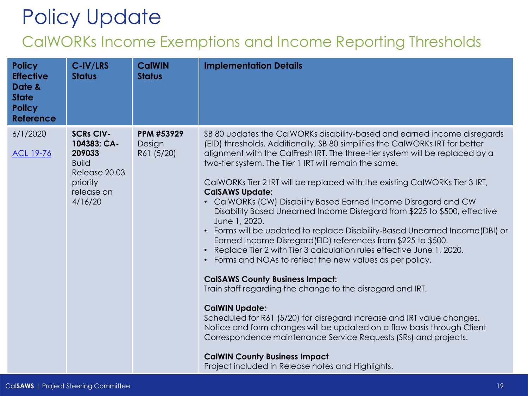#### CalWORKs Income Exemptions and Income Reporting Thresholds

| <b>Policy</b><br><b>Effective</b><br>Date &<br><b>State</b><br><b>Policy</b><br><b>Reference</b> | C-IV/LRS<br><b>Status</b>                                                                                       | <b>CalWIN</b><br><b>Status</b>     | <b>Implementation Details</b>                                                                                                                                                                                                                                                                                                                                                                                                                                                                                                                                                                                                                                                                                                                                                                                                                                                                                                                                                                                                                                                                                                                                                                                                                                                                                            |
|--------------------------------------------------------------------------------------------------|-----------------------------------------------------------------------------------------------------------------|------------------------------------|--------------------------------------------------------------------------------------------------------------------------------------------------------------------------------------------------------------------------------------------------------------------------------------------------------------------------------------------------------------------------------------------------------------------------------------------------------------------------------------------------------------------------------------------------------------------------------------------------------------------------------------------------------------------------------------------------------------------------------------------------------------------------------------------------------------------------------------------------------------------------------------------------------------------------------------------------------------------------------------------------------------------------------------------------------------------------------------------------------------------------------------------------------------------------------------------------------------------------------------------------------------------------------------------------------------------------|
| 6/1/2020<br><b>ACL 19-76</b>                                                                     | <b>SCRs CIV-</b><br>104383; CA-<br>209033<br><b>Build</b><br>Release 20.03<br>priority<br>release on<br>4/16/20 | PPM #53929<br>Design<br>R61 (5/20) | SB 80 updates the CalWORKs disability-based and earned income disregards<br>(EID) thresholds. Additionally, SB 80 simplifies the CalWORKs IRT for better<br>alignment with the CalFresh IRT. The three-tier system will be replaced by a<br>two-tier system. The Tier 1 IRT will remain the same.<br>CalWORKs Tier 2 IRT will be replaced with the existing CalWORKs Tier 3 IRT,<br><b>CalSAWS Update:</b><br>• CalWORKs (CW) Disability Based Earned Income Disregard and CW<br>Disability Based Unearned Income Disregard from \$225 to \$500, effective<br>June 1, 2020.<br>• Forms will be updated to replace Disability-Based Unearned Income (DBI) or<br>Earned Income Disregard (EID) references from \$225 to \$500.<br>• Replace Tier 2 with Tier 3 calculation rules effective June 1, 2020.<br>• Forms and NOAs to reflect the new values as per policy.<br><b>CalSAWS County Business Impact:</b><br>Train staff regarding the change to the disregard and IRT.<br><b>CalWIN Update:</b><br>Scheduled for R61 (5/20) for disregard increase and IRT value changes.<br>Notice and form changes will be updated on a flow basis through Client<br>Correspondence maintenance Service Requests (SRs) and projects.<br><b>CalWIN County Business Impact</b><br>Project included in Release notes and Highlights. |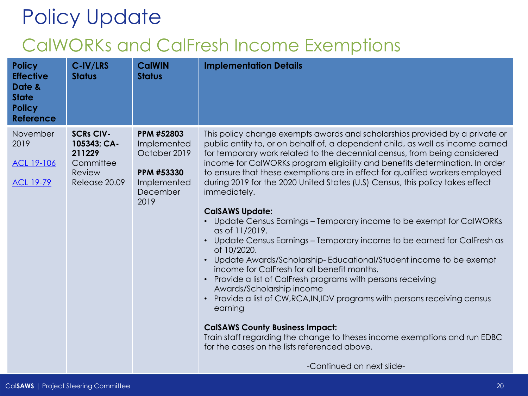## Policy Update CalWORKs and CalFresh Income Exemptions

| <b>Policy</b><br><b>Effective</b><br>Date &<br><b>State</b><br><b>Policy</b><br><b>Reference</b> | C-IV/LRS<br><b>Status</b>                                                         | <b>CalWIN</b><br><b>Status</b>                                                             | <b>Implementation Details</b>                                                                                                                                                                                                                                                                                                                                                                                                                                                                                                                                                                                                                                                                                                                                                                                                                                                                                                                                                                                                                                                                                                                                                                                                                   |
|--------------------------------------------------------------------------------------------------|-----------------------------------------------------------------------------------|--------------------------------------------------------------------------------------------|-------------------------------------------------------------------------------------------------------------------------------------------------------------------------------------------------------------------------------------------------------------------------------------------------------------------------------------------------------------------------------------------------------------------------------------------------------------------------------------------------------------------------------------------------------------------------------------------------------------------------------------------------------------------------------------------------------------------------------------------------------------------------------------------------------------------------------------------------------------------------------------------------------------------------------------------------------------------------------------------------------------------------------------------------------------------------------------------------------------------------------------------------------------------------------------------------------------------------------------------------|
| November<br>2019<br>ACL 19-106<br><b>ACL 19-79</b>                                               | <b>SCRs CIV-</b><br>105343; CA-<br>211229<br>Committee<br>Review<br>Release 20.09 | PPM #52803<br>Implemented<br>October 2019<br>PPM #53330<br>Implemented<br>December<br>2019 | This policy change exempts awards and scholarships provided by a private or<br>public entity to, or on behalf of, a dependent child, as well as income earned<br>for temporary work related to the decennial census, from being considered<br>income for CalWORKs program eligibility and benefits determination. In order<br>to ensure that these exemptions are in effect for qualified workers employed<br>during 2019 for the 2020 United States (U.S) Census, this policy takes effect<br>immediately.<br><b>CalSAWS Update:</b><br>Update Census Earnings - Temporary income to be exempt for CalWORKs<br>as of 11/2019.<br>Update Census Earnings - Temporary income to be earned for CalFresh as<br>of 10/2020.<br>Update Awards/Scholarship-Educational/Student income to be exempt<br>income for CalFresh for all benefit months.<br>Provide a list of CalFresh programs with persons receiving<br>Awards/Scholarship income<br>Provide a list of CW, RCA, IN, IDV programs with persons receiving census<br>$\bullet$<br>earning<br><b>CalSAWS County Business Impact:</b><br>Train staff regarding the change to theses income exemptions and run EDBC<br>for the cases on the lists referenced above.<br>-Continued on next slide- |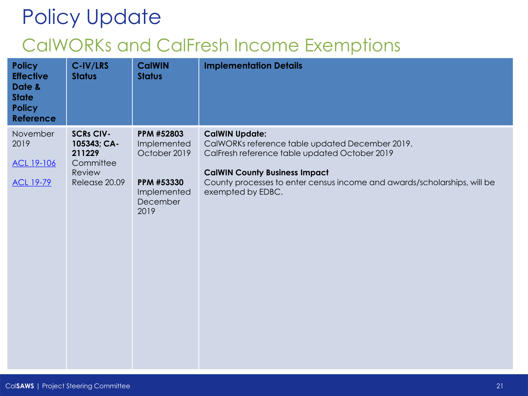## Policy Update CalWORKs and CalFresh Income Exemptions

| <b>Policy</b><br><b>Effective</b><br>Date &<br><b>State</b><br><b>Policy</b><br><b>Reference</b> | C-IV/LRS<br><b>Status</b>                                                         | <b>CalWIN</b><br><b>Status</b>                                                             | <b>Implementation Details</b>                                                                                                                                                                                                                                      |
|--------------------------------------------------------------------------------------------------|-----------------------------------------------------------------------------------|--------------------------------------------------------------------------------------------|--------------------------------------------------------------------------------------------------------------------------------------------------------------------------------------------------------------------------------------------------------------------|
| November<br>2019<br>ACL 19-106<br><b>ACL 19-79</b>                                               | <b>SCRs CIV-</b><br>105343; CA-<br>211229<br>Committee<br>Review<br>Release 20.09 | PPM #52803<br>Implemented<br>October 2019<br>PPM #53330<br>Implemented<br>December<br>2019 | <b>CalWIN Update:</b><br>CalWORKs reference table updated December 2019.<br>CalFresh reference table updated October 2019<br><b>CalWIN County Business Impact</b><br>County processes to enter census income and awards/scholarships, will be<br>exempted by EDBC. |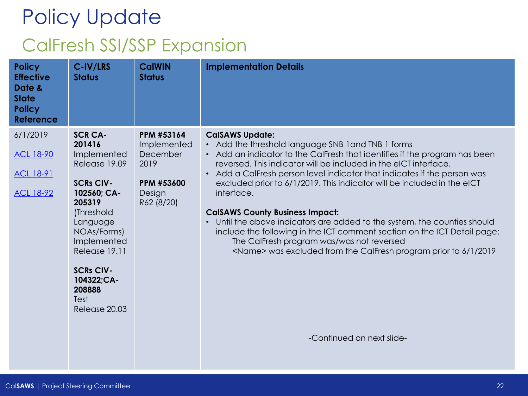# Policy Update CalFresh SSI/SSP Expansion

| <b>Policy</b><br><b>Effective</b><br>Date &<br><b>State</b><br><b>Policy</b><br><b>Reference</b> | C-IV/LRS<br><b>Status</b>                                                                                                                                                                                                                           | <b>CalWIN</b><br><b>Status</b>                                                             | <b>Implementation Details</b>                                                                                                                                                                                                                                                                                                                                                                                                                                                                                                                                                                                                                                                                                                                             |
|--------------------------------------------------------------------------------------------------|-----------------------------------------------------------------------------------------------------------------------------------------------------------------------------------------------------------------------------------------------------|--------------------------------------------------------------------------------------------|-----------------------------------------------------------------------------------------------------------------------------------------------------------------------------------------------------------------------------------------------------------------------------------------------------------------------------------------------------------------------------------------------------------------------------------------------------------------------------------------------------------------------------------------------------------------------------------------------------------------------------------------------------------------------------------------------------------------------------------------------------------|
| 6/1/2019<br><b>ACL 18-90</b><br><b>ACL 18-91</b><br><b>ACL 18-92</b>                             | <b>SCR CA-</b><br>201416<br>Implemented<br>Release 19.09<br><b>SCRs CIV-</b><br>102560; CA-<br>205319<br>(Threshold<br>Language<br>NOAs/Forms)<br>Implemented<br>Release 19.11<br><b>SCRs CIV-</b><br>104322;CA-<br>208888<br>Test<br>Release 20.03 | PPM #53164<br>Implemented<br>December<br>2019<br><b>PPM #53600</b><br>Design<br>R62 (8/20) | <b>CalSAWS Update:</b><br>• Add the threshold language SNB 1 and TNB 1 forms<br>• Add an indicator to the CalFresh that identifies if the program has been<br>reversed. This indicator will be included in the eICT interface.<br>• Add a CalFresh person level indicator that indicates if the person was<br>excluded prior to 6/1/2019. This indicator will be included in the eICT<br>interface.<br><b>CalSAWS County Business Impact:</b><br>Until the above indicators are added to the system, the counties should<br>include the following in the ICT comment section on the ICT Detail page:<br>The CalFresh program was/was not reversed<br><name> was excluded from the CalFresh program prior to 6/1/2019<br/>-Continued on next slide-</name> |
|                                                                                                  |                                                                                                                                                                                                                                                     |                                                                                            |                                                                                                                                                                                                                                                                                                                                                                                                                                                                                                                                                                                                                                                                                                                                                           |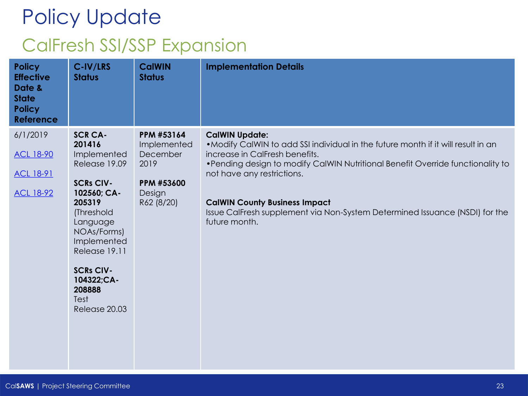# Policy Update CalFresh SSI/SSP Expansion

| <b>Policy</b><br><b>Effective</b><br>Date &<br><b>State</b><br><b>Policy</b><br><b>Reference</b> | C-IV/LRS<br><b>Status</b>                                                                                                                                                                                                                           | <b>CalWIN</b><br><b>Status</b>                                                      | <b>Implementation Details</b>                                                                                                                                                                                                                                                                                                                                                                         |
|--------------------------------------------------------------------------------------------------|-----------------------------------------------------------------------------------------------------------------------------------------------------------------------------------------------------------------------------------------------------|-------------------------------------------------------------------------------------|-------------------------------------------------------------------------------------------------------------------------------------------------------------------------------------------------------------------------------------------------------------------------------------------------------------------------------------------------------------------------------------------------------|
| 6/1/2019<br><b>ACL 18-90</b><br><b>ACL 18-91</b><br>ACL 18-92                                    | <b>SCR CA-</b><br>201416<br>Implemented<br>Release 19.09<br><b>SCRs CIV-</b><br>102560; CA-<br>205319<br>(Threshold<br>Language<br>NOAs/Forms)<br>Implemented<br>Release 19.11<br><b>SCRs CIV-</b><br>104322;CA-<br>208888<br>Test<br>Release 20.03 | PPM #53164<br>Implemented<br>December<br>2019<br>PPM #53600<br>Design<br>R62 (8/20) | <b>CalWIN Update:</b><br>. Modify CalWIN to add SSI individual in the future month if it will result in an<br>increase in CalFresh benefits.<br>• Pending design to modify CalWIN Nutritional Benefit Override functionality to<br>not have any restrictions.<br><b>CalWIN County Business Impact</b><br>Issue CalFresh supplement via Non-System Determined Issuance (NSDI) for the<br>future month. |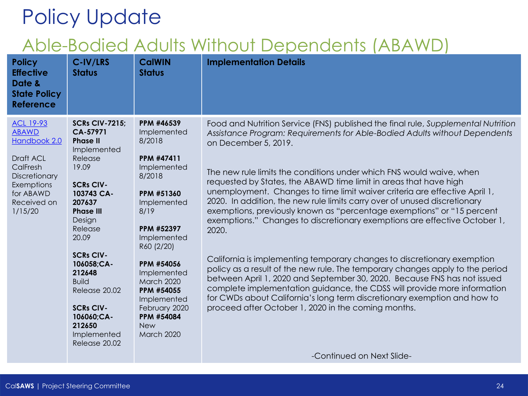| <b>Policy</b><br><b>Effective</b><br>Date &<br><b>State Policy</b><br><b>Reference</b>                                                          | C-IV/LRS<br><b>Status</b>                                                                                                                                                                                                                                                                                                                      | <b>CalWIN</b><br><b>Status</b>                                                                                                                                                                                                                                                                       | <b>Implementation Details</b>                                                                                                                                                                                                                                                                                                                                                                                                                                                                                                                                                                                                                                                                                                                                                                                                                                                                                                                                                                                                                                                                                          |
|-------------------------------------------------------------------------------------------------------------------------------------------------|------------------------------------------------------------------------------------------------------------------------------------------------------------------------------------------------------------------------------------------------------------------------------------------------------------------------------------------------|------------------------------------------------------------------------------------------------------------------------------------------------------------------------------------------------------------------------------------------------------------------------------------------------------|------------------------------------------------------------------------------------------------------------------------------------------------------------------------------------------------------------------------------------------------------------------------------------------------------------------------------------------------------------------------------------------------------------------------------------------------------------------------------------------------------------------------------------------------------------------------------------------------------------------------------------------------------------------------------------------------------------------------------------------------------------------------------------------------------------------------------------------------------------------------------------------------------------------------------------------------------------------------------------------------------------------------------------------------------------------------------------------------------------------------|
| <b>ACL 19-93</b><br><b>ABAWD</b><br>Handbook 2.0<br>Draft ACL<br>CalFresh<br>Discretionary<br>Exemptions<br>for ABAWD<br>Received on<br>1/15/20 | <b>SCRs CIV-7215;</b><br>CA-57971<br><b>Phase II</b><br>Implemented<br>Release<br>19.09<br><b>SCRs CIV-</b><br>103743 CA-<br>207637<br><b>Phase III</b><br>Design<br>Release<br>20.09<br><b>SCRs CIV-</b><br>106058;CA-<br>212648<br><b>Build</b><br>Release 20.02<br><b>SCRs CIV-</b><br>106060;CA-<br>212650<br>Implemented<br>Release 20.02 | PPM #46539<br>Implemented<br>8/2018<br>PPM #47411<br>Implemented<br>8/2018<br>PPM #51360<br>Implemented<br>8/19<br>PPM #52397<br>Implemented<br>R60 (2/20)<br>PPM #54056<br>Implemented<br><b>March 2020</b><br>PPM #54055<br>Implemented<br>February 2020<br>PPM #54084<br><b>New</b><br>March 2020 | Food and Nutrition Service (FNS) published the final rule, Supplemental Nutrition<br>Assistance Program: Requirements for Able-Bodied Adults without Dependents<br>on December 5, 2019.<br>The new rule limits the conditions under which FNS would waive, when<br>requested by States, the ABAWD time limit in areas that have high<br>unemployment. Changes to time limit waiver criteria are effective April 1,<br>2020. In addition, the new rule limits carry over of unused discretionary<br>exemptions, previously known as "percentage exemptions" or "15 percent<br>exemptions." Changes to discretionary exemptions are effective October 1,<br>2020.<br>California is implementing temporary changes to discretionary exemption<br>policy as a result of the new rule. The temporary changes apply to the period<br>between April 1, 2020 and September 30, 2020. Because FNS has not issued<br>complete implementation guidance, the CDSS will provide more information<br>for CWDs about California's long term discretionary exemption and how to<br>proceed after October 1, 2020 in the coming months. |
|                                                                                                                                                 |                                                                                                                                                                                                                                                                                                                                                |                                                                                                                                                                                                                                                                                                      | -Continued on Next Slide-                                                                                                                                                                                                                                                                                                                                                                                                                                                                                                                                                                                                                                                                                                                                                                                                                                                                                                                                                                                                                                                                                              |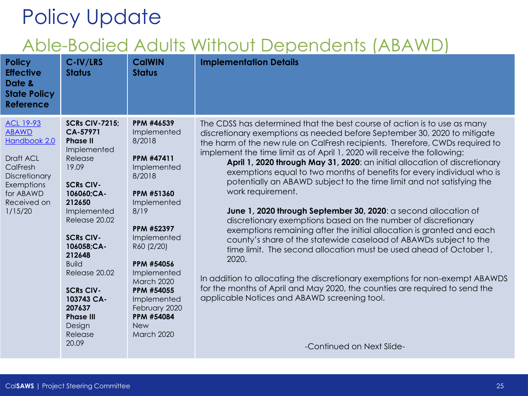| <b>Policy</b><br><b>Effective</b><br>Date &<br><b>State Policy</b><br><b>Reference</b>                                                          | C-IV/LRS<br><b>Status</b>                                                                                                                                                                                                                                                                                                                      | <b>CalWIN</b><br><b>Status</b>                                                                                                                                                                                                                                                                              | <b>Implementation Details</b>                                                                                                                                                                                                                                                                                                                                                                                                                                                                                                                                                                                                                                                                                                                                                                                                                                                                                                                                                                                                                                                                                                                                                       |
|-------------------------------------------------------------------------------------------------------------------------------------------------|------------------------------------------------------------------------------------------------------------------------------------------------------------------------------------------------------------------------------------------------------------------------------------------------------------------------------------------------|-------------------------------------------------------------------------------------------------------------------------------------------------------------------------------------------------------------------------------------------------------------------------------------------------------------|-------------------------------------------------------------------------------------------------------------------------------------------------------------------------------------------------------------------------------------------------------------------------------------------------------------------------------------------------------------------------------------------------------------------------------------------------------------------------------------------------------------------------------------------------------------------------------------------------------------------------------------------------------------------------------------------------------------------------------------------------------------------------------------------------------------------------------------------------------------------------------------------------------------------------------------------------------------------------------------------------------------------------------------------------------------------------------------------------------------------------------------------------------------------------------------|
| <b>ACL 19-93</b><br><b>ABAWD</b><br>Handbook 2.0<br>Draft ACL<br>CalFresh<br>Discretionary<br>Exemptions<br>for ABAWD<br>Received on<br>1/15/20 | <b>SCRs CIV-7215;</b><br>CA-57971<br><b>Phase II</b><br>Implemented<br>Release<br>19.09<br><b>SCRs CIV-</b><br>106060;CA-<br>212650<br>Implemented<br>Release 20.02<br><b>SCRs CIV-</b><br>106058;CA-<br>212648<br><b>Build</b><br>Release 20.02<br><b>SCRs CIV-</b><br>103743 CA-<br>207637<br><b>Phase III</b><br>Design<br>Release<br>20.09 | PPM #46539<br>Implemented<br>8/2018<br>PPM #47411<br>Implemented<br>8/2018<br><b>PPM #51360</b><br>Implemented<br>8/19<br>PPM #52397<br>Implemented<br>R60 (2/20)<br>PPM #54056<br>Implemented<br><b>March 2020</b><br>PPM #54055<br>Implemented<br>February 2020<br>PPM #54084<br><b>New</b><br>March 2020 | The CDSS has determined that the best course of action is to use as many<br>discretionary exemptions as needed before September 30, 2020 to mitigate<br>the harm of the new rule on CalFresh recipients. Therefore, CWDs required to<br>implement the time limit as of April 1, 2020 will receive the following:<br>April 1, 2020 through May 31, 2020: an initial allocation of discretionary<br>exemptions equal to two months of benefits for every individual who is<br>potentially an ABAWD subject to the time limit and not satisfying the<br>work requirement.<br>June 1, 2020 through September 30, 2020: a second allocation of<br>discretionary exemptions based on the number of discretionary<br>exemptions remaining after the initial allocation is granted and each<br>county's share of the statewide caseload of ABAWDs subject to the<br>time limit. The second allocation must be used ahead of October 1,<br>2020.<br>In addition to allocating the discretionary exemptions for non-exempt ABAWDS<br>for the months of April and May 2020, the counties are required to send the<br>applicable Notices and ABAWD screening tool.<br>-Continued on Next Slide- |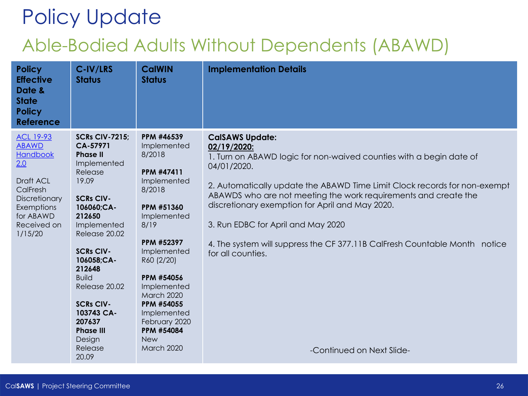| <b>Policy</b><br><b>Effective</b><br>Date &<br><b>State</b><br><b>Policy</b><br><b>Reference</b>                                                   | C-IV/LRS<br><b>Status</b>                                                                                                                                                                                                                                                                                                                      | <b>CalWIN</b><br><b>Status</b>                                                                                                                                                                                                                                                                       | <b>Implementation Details</b>                                                                                                                                                                                                                                                                                                                                                                                                                                                                        |
|----------------------------------------------------------------------------------------------------------------------------------------------------|------------------------------------------------------------------------------------------------------------------------------------------------------------------------------------------------------------------------------------------------------------------------------------------------------------------------------------------------|------------------------------------------------------------------------------------------------------------------------------------------------------------------------------------------------------------------------------------------------------------------------------------------------------|------------------------------------------------------------------------------------------------------------------------------------------------------------------------------------------------------------------------------------------------------------------------------------------------------------------------------------------------------------------------------------------------------------------------------------------------------------------------------------------------------|
| <b>ACL 19-93</b><br><b>ABAWD</b><br>Handbook<br>2.0<br>Draft ACL<br>CalFresh<br>Discretionary<br>Exemptions<br>for ABAWD<br>Received on<br>1/15/20 | <b>SCRs CIV-7215;</b><br>CA-57971<br><b>Phase II</b><br>Implemented<br>Release<br>19.09<br><b>SCRs CIV-</b><br>106060;CA-<br>212650<br>Implemented<br>Release 20.02<br><b>SCRs CIV-</b><br>106058;CA-<br>212648<br><b>Build</b><br>Release 20.02<br><b>SCRs CIV-</b><br>103743 CA-<br>207637<br><b>Phase III</b><br>Design<br>Release<br>20.09 | PPM #46539<br>Implemented<br>8/2018<br>PPM #47411<br>Implemented<br>8/2018<br>PPM #51360<br>Implemented<br>8/19<br>PPM #52397<br>Implemented<br>R60 (2/20)<br>PPM #54056<br>Implemented<br>March 2020<br>PPM #54055<br>Implemented<br>February 2020<br><b>PPM #54084</b><br><b>New</b><br>March 2020 | <b>CalSAWS Update:</b><br>02/19/2020:<br>1. Turn on ABAWD logic for non-waived counties with a begin date of<br>04/01/2020.<br>2. Automatically update the ABAWD Time Limit Clock records for non-exempt<br>ABAWDS who are not meeting the work requirements and create the<br>discretionary exemption for April and May 2020.<br>3. Run EDBC for April and May 2020<br>4. The system will suppress the CF 377.11B CalFresh Countable Month notice<br>for all counties.<br>-Continued on Next Slide- |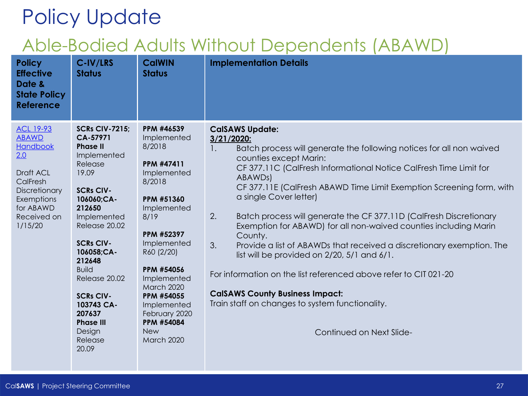| <b>Policy</b><br><b>Effective</b><br>Date &<br><b>State Policy</b><br><b>Reference</b>                                                             | C-IV/LRS<br><b>Status</b>                                                                                                                                                                                                                                                                                                                      | <b>CalWIN</b><br><b>Status</b>                                                                                                                                                                                                                                                                | <b>Implementation Details</b>                                                                                                                                                                                                                                                                                                                                                                                                                                                                                                                                                                                                                                                                                                                                                                                                                         |
|----------------------------------------------------------------------------------------------------------------------------------------------------|------------------------------------------------------------------------------------------------------------------------------------------------------------------------------------------------------------------------------------------------------------------------------------------------------------------------------------------------|-----------------------------------------------------------------------------------------------------------------------------------------------------------------------------------------------------------------------------------------------------------------------------------------------|-------------------------------------------------------------------------------------------------------------------------------------------------------------------------------------------------------------------------------------------------------------------------------------------------------------------------------------------------------------------------------------------------------------------------------------------------------------------------------------------------------------------------------------------------------------------------------------------------------------------------------------------------------------------------------------------------------------------------------------------------------------------------------------------------------------------------------------------------------|
| <b>ACL 19-93</b><br><b>ABAWD</b><br>Handbook<br>2.0<br>Draft ACL<br>CalFresh<br>Discretionary<br>Exemptions<br>for ABAWD<br>Received on<br>1/15/20 | <b>SCRs CIV-7215:</b><br>CA-57971<br><b>Phase II</b><br>Implemented<br>Release<br>19.09<br><b>SCRs CIV-</b><br>106060;CA-<br>212650<br>Implemented<br>Release 20.02<br><b>SCRs CIV-</b><br>106058;CA-<br>212648<br><b>Build</b><br>Release 20.02<br><b>SCRs CIV-</b><br>103743 CA-<br>207637<br><b>Phase III</b><br>Design<br>Release<br>20.09 | PPM #46539<br>Implemented<br>8/2018<br>PPM #47411<br>Implemented<br>8/2018<br>PPM #51360<br>Implemented<br>8/19<br>PPM #52397<br>Implemented<br>R60 (2/20)<br>PPM #54056<br>Implemented<br>March 2020<br>PPM #54055<br>Implemented<br>February 2020<br>PPM #54084<br><b>New</b><br>March 2020 | <b>CalSAWS Update:</b><br>3/21/2020:<br>Batch process will generate the following notices for all non waived<br>$\mathbf{1}$ .<br>counties except Marin:<br>CF 377.11C (CalFresh Informational Notice CalFresh Time Limit for<br>ABAWD <sub>s</sub> )<br>CF 377.11E (CalFresh ABAWD Time Limit Exemption Screening form, with<br>a single Cover letter)<br>2.<br>Batch process will generate the CF 377.11D (CalFresh Discretionary<br>Exemption for ABAWD) for all non-waived counties including Marin<br>County.<br>3.<br>Provide a list of ABAWDs that received a discretionary exemption. The<br>list will be provided on $2/20$ , $5/1$ and $6/1$ .<br>For information on the list referenced above refer to CIT 021-20<br><b>CalSAWS County Business Impact:</b><br>Train staff on changes to system functionality.<br>Continued on Next Slide- |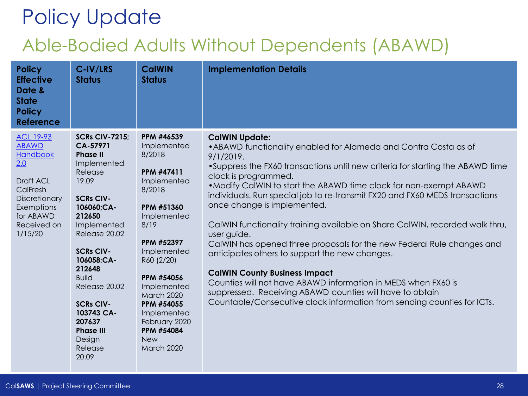| <b>Policy</b><br><b>Effective</b><br>Date &<br><b>State</b><br><b>Policy</b><br><b>Reference</b>                                                   | C-IV/LRS<br><b>Status</b>                                                                                                                                                                                                                                                                                                                      | <b>CalWIN</b><br><b>Status</b>                                                                                                                                                                                                                                                                              | <b>Implementation Details</b>                                                                                                                                                                                                                                                                                                                                                                                                                                                                                                                                                                                                                                                                                                                                                                                                                                                   |
|----------------------------------------------------------------------------------------------------------------------------------------------------|------------------------------------------------------------------------------------------------------------------------------------------------------------------------------------------------------------------------------------------------------------------------------------------------------------------------------------------------|-------------------------------------------------------------------------------------------------------------------------------------------------------------------------------------------------------------------------------------------------------------------------------------------------------------|---------------------------------------------------------------------------------------------------------------------------------------------------------------------------------------------------------------------------------------------------------------------------------------------------------------------------------------------------------------------------------------------------------------------------------------------------------------------------------------------------------------------------------------------------------------------------------------------------------------------------------------------------------------------------------------------------------------------------------------------------------------------------------------------------------------------------------------------------------------------------------|
| <b>ACL 19-93</b><br><b>ABAWD</b><br>Handbook<br>2.0<br>Draft ACL<br>CalFresh<br>Discretionary<br>Exemptions<br>for ABAWD<br>Received on<br>1/15/20 | <b>SCRs CIV-7215;</b><br>CA-57971<br><b>Phase II</b><br>Implemented<br>Release<br>19.09<br><b>SCRs CIV-</b><br>106060;CA-<br>212650<br>Implemented<br>Release 20.02<br><b>SCRs CIV-</b><br>106058;CA-<br>212648<br><b>Build</b><br>Release 20.02<br><b>SCRs CIV-</b><br>103743 CA-<br>207637<br><b>Phase III</b><br>Design<br>Release<br>20.09 | PPM #46539<br>Implemented<br>8/2018<br><b>PPM #47411</b><br>Implemented<br>8/2018<br>PPM #51360<br>Implemented<br>8/19<br>PPM #52397<br>Implemented<br>R60 (2/20)<br>PPM #54056<br>Implemented<br>March 2020<br>PPM #54055<br>Implemented<br>February 2020<br>PPM #54084<br><b>New</b><br><b>March 2020</b> | <b>CalWIN Update:</b><br>• ABAWD functionality enabled for Alameda and Contra Costa as of<br>9/1/2019.<br>•Suppress the FX60 transactions until new criteria for starting the ABAWD time<br>clock is programmed.<br>. Modify CalWIN to start the ABAWD time clock for non-exempt ABAWD<br>individuals. Run special job to re-transmit FX20 and FX60 MEDS transactions<br>once change is implemented.<br>CalWIN functionality training available on Share CalWIN, recorded walk thru,<br>user guide.<br>CalWIN has opened three proposals for the new Federal Rule changes and<br>anticipates others to support the new changes.<br><b>CalWIN County Business Impact</b><br>Counties will not have ABAWD information in MEDS when FX60 is<br>suppressed. Receiving ABAWD counties will have to obtain<br>Countable/Consecutive clock information from sending counties for ICTs. |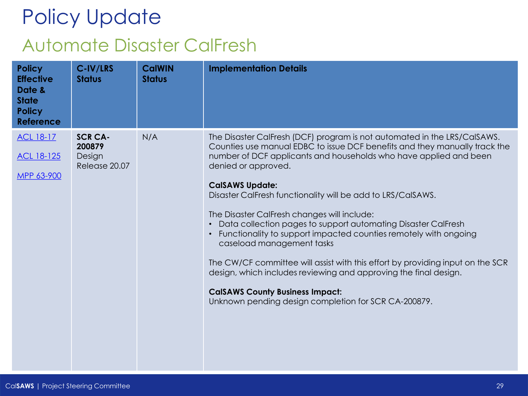# Policy Update Automate Disaster CalFresh

| <b>Policy</b><br><b>Effective</b><br>Date &<br><b>State</b><br><b>Policy</b><br><b>Reference</b> | C-IV/LRS<br><b>Status</b>                           | <b>CalWIN</b><br><b>Status</b> | <b>Implementation Details</b>                                                                                                                                                                                                                                                                                                                                                                                                                                                                                                                                                                                                                                                                                                                                                                                                     |
|--------------------------------------------------------------------------------------------------|-----------------------------------------------------|--------------------------------|-----------------------------------------------------------------------------------------------------------------------------------------------------------------------------------------------------------------------------------------------------------------------------------------------------------------------------------------------------------------------------------------------------------------------------------------------------------------------------------------------------------------------------------------------------------------------------------------------------------------------------------------------------------------------------------------------------------------------------------------------------------------------------------------------------------------------------------|
| <b>ACL 18-17</b><br>ACL 18-125<br>MPP 63-900                                                     | <b>SCR CA-</b><br>200879<br>Design<br>Release 20.07 | N/A                            | The Disaster CalFresh (DCF) program is not automated in the LRS/CalSAWS.<br>Counties use manual EDBC to issue DCF benefits and they manually track the<br>number of DCF applicants and households who have applied and been<br>denied or approved.<br><b>CalSAWS Update:</b><br>Disaster CalFresh functionality will be add to LRS/CalSAWS.<br>The Disaster CalFresh changes will include:<br>Data collection pages to support automating Disaster CalFresh<br>$\bullet$<br>Functionality to support impacted counties remotely with ongoing<br>caseload management tasks<br>The CW/CF committee will assist with this effort by providing input on the SCR<br>design, which includes reviewing and approving the final design.<br><b>CalSAWS County Business Impact:</b><br>Unknown pending design completion for SCR CA-200879. |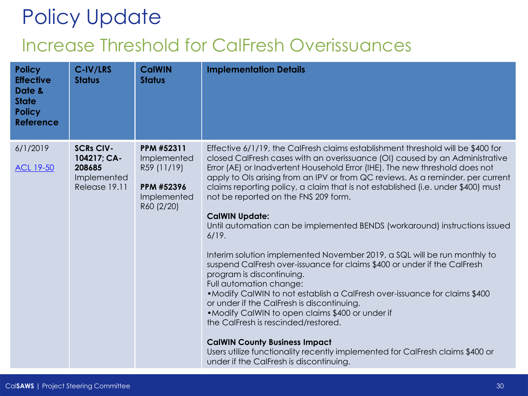## Policy Update Increase Threshold for CalFresh Overissuances

| <b>Policy</b><br><b>Effective</b><br>Date &<br><b>State</b><br><b>Policy</b><br><b>Reference</b> | C-IV/LRS<br><b>Status</b>                                                 | <b>CalWIN</b><br><b>Status</b>                                                      | <b>Implementation Details</b>                                                                                                                                                                                                                                                                                                                                                                                                                                                                                                                                                                                                                                                                                                                                                                                                                                                                                                                                                                                                                                                                                                                                                           |
|--------------------------------------------------------------------------------------------------|---------------------------------------------------------------------------|-------------------------------------------------------------------------------------|-----------------------------------------------------------------------------------------------------------------------------------------------------------------------------------------------------------------------------------------------------------------------------------------------------------------------------------------------------------------------------------------------------------------------------------------------------------------------------------------------------------------------------------------------------------------------------------------------------------------------------------------------------------------------------------------------------------------------------------------------------------------------------------------------------------------------------------------------------------------------------------------------------------------------------------------------------------------------------------------------------------------------------------------------------------------------------------------------------------------------------------------------------------------------------------------|
| 6/1/2019<br><b>ACL 19-50</b>                                                                     | <b>SCRs CIV-</b><br>104217; CA-<br>208685<br>Implemented<br>Release 19.11 | PPM #52311<br>Implemented<br>R59 (11/19)<br>PPM #52396<br>Implemented<br>R60 (2/20) | Effective 6/1/19, the CalFresh claims establishment threshold will be \$400 for<br>closed CalFresh cases with an overissuance (OI) caused by an Administrative<br>Error (AE) or Inadvertent Household Error (IHE). The new threshold does not<br>apply to OIs arising from an IPV or from QC reviews. As a reminder, per current<br>claims reporting policy, a claim that is not established (i.e. under \$400) must<br>not be reported on the FNS 209 form.<br><b>CalWIN Update:</b><br>Until automation can be implemented BENDS (workaround) instructions issued<br>6/19.<br>Interim solution implemented November 2019, a SQL will be run monthly to<br>suspend CalFresh over-issuance for claims \$400 or under if the CalFresh<br>program is discontinuing.<br>Full automation change:<br>. Modify CalWIN to not establish a CalFresh over-issuance for claims \$400<br>or under if the CalFresh is discontinuing.<br>• Modify CalWIN to open claims \$400 or under if<br>the CalFresh is rescinded/restored.<br><b>CalWIN County Business Impact</b><br>Users utilize functionality recently implemented for CalFresh claims \$400 or<br>under if the CalFresh is discontinuing. |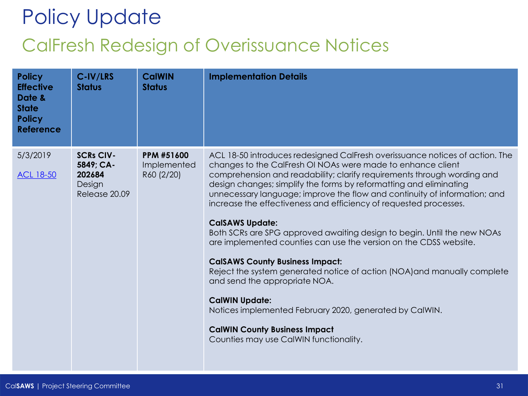## Policy Update CalFresh Redesign of Overissuance Notices

| <b>Policy</b><br><b>Effective</b><br>Date &<br><b>State</b><br><b>Policy</b><br><b>Reference</b> | C-IV/LRS<br><b>Status</b>                                          | <b>CalWIN</b><br><b>Status</b>                 | <b>Implementation Details</b>                                                                                                                                                                                                                                                                                                                                                                                                                                                                                                                                                                                                                                                                                                                                                                                                                                                                                                                         |
|--------------------------------------------------------------------------------------------------|--------------------------------------------------------------------|------------------------------------------------|-------------------------------------------------------------------------------------------------------------------------------------------------------------------------------------------------------------------------------------------------------------------------------------------------------------------------------------------------------------------------------------------------------------------------------------------------------------------------------------------------------------------------------------------------------------------------------------------------------------------------------------------------------------------------------------------------------------------------------------------------------------------------------------------------------------------------------------------------------------------------------------------------------------------------------------------------------|
| 5/3/2019<br><b>ACL 18-50</b>                                                                     | <b>SCRs CIV-</b><br>5849; CA-<br>202684<br>Design<br>Release 20.09 | <b>PPM #51600</b><br>Implemented<br>R60 (2/20) | ACL 18-50 introduces redesigned CalFresh overissuance notices of action. The<br>changes to the CalFresh OI NOAs were made to enhance client<br>comprehension and readability; clarify requirements through wording and<br>design changes; simplify the forms by reformatting and eliminating<br>unnecessary language; improve the flow and continuity of information; and<br>increase the effectiveness and efficiency of requested processes.<br><b>CalSAWS Update:</b><br>Both SCRs are SPG approved awaiting design to begin. Until the new NOAs<br>are implemented counties can use the version on the CDSS website.<br><b>CalSAWS County Business Impact:</b><br>Reject the system generated notice of action (NOA) and manually complete<br>and send the appropriate NOA.<br><b>CalWIN Update:</b><br>Notices implemented February 2020, generated by CalWIN.<br><b>CalWIN County Business Impact</b><br>Counties may use CalWIN functionality. |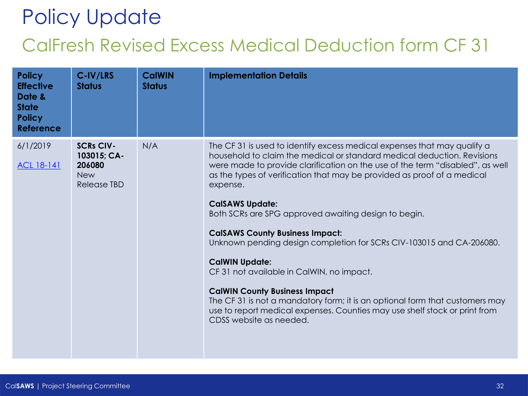## Policy Update CalFresh Revised Excess Medical Deduction form CF 31

| <b>Policy</b><br><b>Effective</b><br>Date &<br><b>State</b><br><b>Policy</b><br><b>Reference</b> | C-IV/LRS<br><b>Status</b>                                                     | <b>CalWIN</b><br><b>Status</b> | <b>Implementation Details</b>                                                                                                                                                                                                                                                                                                                                                                                                                                                                                                                                                                                                                                                                                                                                                                                                          |
|--------------------------------------------------------------------------------------------------|-------------------------------------------------------------------------------|--------------------------------|----------------------------------------------------------------------------------------------------------------------------------------------------------------------------------------------------------------------------------------------------------------------------------------------------------------------------------------------------------------------------------------------------------------------------------------------------------------------------------------------------------------------------------------------------------------------------------------------------------------------------------------------------------------------------------------------------------------------------------------------------------------------------------------------------------------------------------------|
| 6/1/2019<br>ACL 18-141                                                                           | <b>SCRs CIV-</b><br>103015; CA-<br>206080<br><b>New</b><br><b>Release TBD</b> | N/A                            | The CF 31 is used to identify excess medical expenses that may qualify a<br>household to claim the medical or standard medical deduction. Revisions<br>were made to provide clarification on the use of the term "disabled", as well<br>as the types of verification that may be provided as proof of a medical<br>expense.<br><b>CalSAWS Update:</b><br>Both SCRs are SPG approved awaiting design to begin.<br><b>CalSAWS County Business Impact:</b><br>Unknown pending design completion for SCRs CIV-103015 and CA-206080.<br><b>CalWIN Update:</b><br>CF 31 not available in CalWIN, no impact.<br><b>CalWIN County Business Impact</b><br>The CF 31 is not a mandatory form; it is an optional form that customers may<br>use to report medical expenses. Counties may use shelf stock or print from<br>CDSS website as needed. |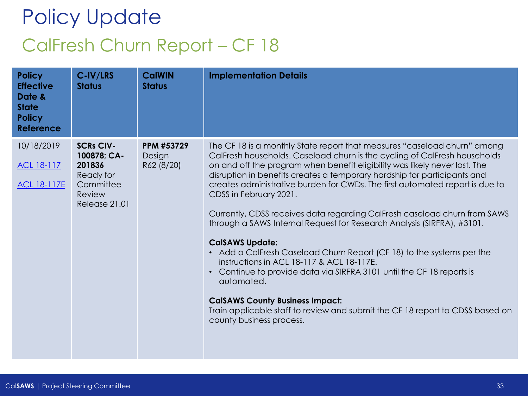## Policy Update CalFresh Churn Report – CF 18

| <b>Policy</b><br><b>Effective</b><br>Date &<br><b>State</b><br><b>Policy</b><br><b>Reference</b> | C-IV/LRS<br><b>Status</b>                                                                      | <b>CalWIN</b><br><b>Status</b>     | <b>Implementation Details</b>                                                                                                                                                                                                                                                                                                                                                                                                                                                                                                                                                                                                                                                                                                                                                                                                                                                                                                                                                             |
|--------------------------------------------------------------------------------------------------|------------------------------------------------------------------------------------------------|------------------------------------|-------------------------------------------------------------------------------------------------------------------------------------------------------------------------------------------------------------------------------------------------------------------------------------------------------------------------------------------------------------------------------------------------------------------------------------------------------------------------------------------------------------------------------------------------------------------------------------------------------------------------------------------------------------------------------------------------------------------------------------------------------------------------------------------------------------------------------------------------------------------------------------------------------------------------------------------------------------------------------------------|
| 10/18/2019<br>ACL 18-117<br><b>ACL 18-117E</b>                                                   | <b>SCRs CIV-</b><br>100878; CA-<br>201836<br>Ready for<br>Committee<br>Review<br>Release 21.01 | PPM #53729<br>Design<br>R62 (8/20) | The CF 18 is a monthly State report that measures "caseload churn" among<br>CalFresh households. Caseload churn is the cycling of CalFresh households<br>on and off the program when benefit eligibility was likely never lost. The<br>disruption in benefits creates a temporary hardship for participants and<br>creates administrative burden for CWDs. The first automated report is due to<br>CDSS in February 2021.<br>Currently, CDSS receives data regarding CalFresh caseload churn from SAWS<br>through a SAWS Internal Request for Research Analysis (SIRFRA), #3101.<br><b>CalSAWS Update:</b><br>• Add a CalFresh Caseload Churn Report (CF 18) to the systems per the<br>instructions in ACL 18-117 & ACL 18-117E.<br>Continue to provide data via SIRFRA 3101 until the CF 18 reports is<br>$\bullet$<br>automated.<br><b>CalSAWS County Business Impact:</b><br>Train applicable staff to review and submit the CF 18 report to CDSS based on<br>county business process. |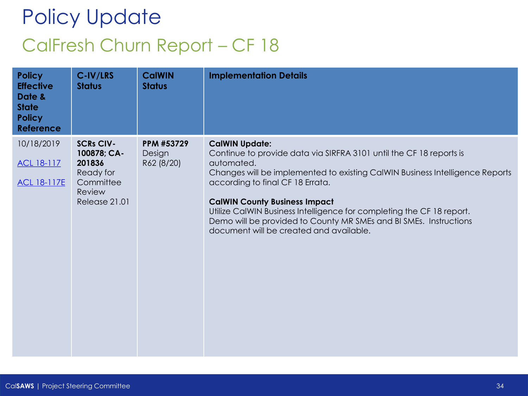## Policy Update CalFresh Churn Report – CF 18

| <b>Policy</b><br><b>Effective</b><br>Date &<br><b>State</b><br><b>Policy</b><br><b>Reference</b> | C-IV/LRS<br><b>Status</b>                                                                      | <b>CalWIN</b><br><b>Status</b>     | <b>Implementation Details</b>                                                                                                                                                                                                                                                                                                                                                                                                                                   |
|--------------------------------------------------------------------------------------------------|------------------------------------------------------------------------------------------------|------------------------------------|-----------------------------------------------------------------------------------------------------------------------------------------------------------------------------------------------------------------------------------------------------------------------------------------------------------------------------------------------------------------------------------------------------------------------------------------------------------------|
| 10/18/2019<br>ACL 18-117<br><b>ACL 18-117E</b>                                                   | <b>SCRs CIV-</b><br>100878; CA-<br>201836<br>Ready for<br>Committee<br>Review<br>Release 21.01 | PPM #53729<br>Design<br>R62 (8/20) | <b>CalWIN Update:</b><br>Continue to provide data via SIRFRA 3101 until the CF 18 reports is<br>automated.<br>Changes will be implemented to existing CalWIN Business Intelligence Reports<br>according to final CF 18 Errata.<br><b>CalWIN County Business Impact</b><br>Utilize CalWIN Business Intelligence for completing the CF 18 report.<br>Demo will be provided to County MR SMEs and BI SMEs. Instructions<br>document will be created and available. |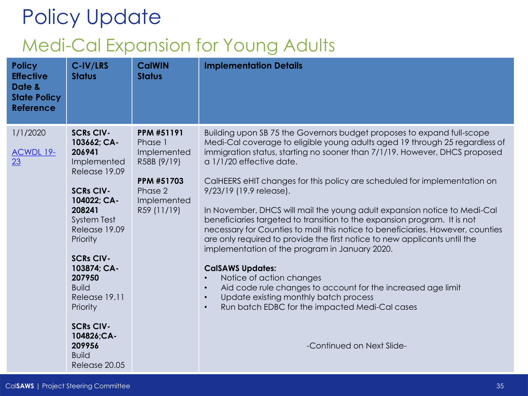## Policy Update Medi-Cal Expansion for Young Adults

| <b>Policy</b><br><b>Effective</b><br>Date &<br><b>State Policy</b><br><b>Reference</b> | C-IV/LRS<br><b>Status</b>                                                                                                                                                                                                                                                                                                                        | <b>CalWIN</b><br><b>Status</b>                                                                                    | <b>Implementation Details</b>                                                                                                                                                                                                                                                                                                                                                                                                                                                                                                                                                                                                                                                                                                                                                                                                                                                                                                                                                                                                                       |
|----------------------------------------------------------------------------------------|--------------------------------------------------------------------------------------------------------------------------------------------------------------------------------------------------------------------------------------------------------------------------------------------------------------------------------------------------|-------------------------------------------------------------------------------------------------------------------|-----------------------------------------------------------------------------------------------------------------------------------------------------------------------------------------------------------------------------------------------------------------------------------------------------------------------------------------------------------------------------------------------------------------------------------------------------------------------------------------------------------------------------------------------------------------------------------------------------------------------------------------------------------------------------------------------------------------------------------------------------------------------------------------------------------------------------------------------------------------------------------------------------------------------------------------------------------------------------------------------------------------------------------------------------|
| 1/1/2020<br><b>ACWDL 19-</b><br>23                                                     | <b>SCRs CIV-</b><br>103662; CA-<br>206941<br>Implemented<br>Release 19.09<br><b>SCRs CIV-</b><br>104022; CA-<br>208241<br><b>System Test</b><br>Release 19.09<br>Priority<br><b>SCRs CIV-</b><br>103874; CA-<br>207950<br><b>Build</b><br>Release 19.11<br>Priority<br><b>SCRs CIV-</b><br>104826;CA-<br>209956<br><b>Build</b><br>Release 20.05 | PPM #51191<br>Phase 1<br>Implemented<br>R58B (9/19)<br><b>PPM #51703</b><br>Phase 2<br>Implemented<br>R59 (11/19) | Building upon SB 75 the Governors budget proposes to expand full-scope<br>Medi-Cal coverage to eligible young adults aged 19 through 25 regardless of<br>immigration status, starting no sooner than 7/1/19. However, DHCS proposed<br>a 1/1/20 effective date.<br>CalHEERS eHIT changes for this policy are scheduled for implementation on<br>9/23/19 (19.9 release).<br>In November, DHCS will mail the young adult expansion notice to Medi-Cal<br>beneficiaries targeted to transition to the expansion program. It is not<br>necessary for Counties to mail this notice to beneficiaries. However, counties<br>are only required to provide the first notice to new applicants until the<br>implementation of the program in January 2020.<br><b>CalSAWS Updates:</b><br>Notice of action changes<br>$\bullet$<br>Aid code rule changes to account for the increased age limit<br>$\bullet$<br>Update existing monthly batch process<br>$\bullet$<br>Run batch EDBC for the impacted Medi-Cal cases<br>$\bullet$<br>-Continued on Next Slide- |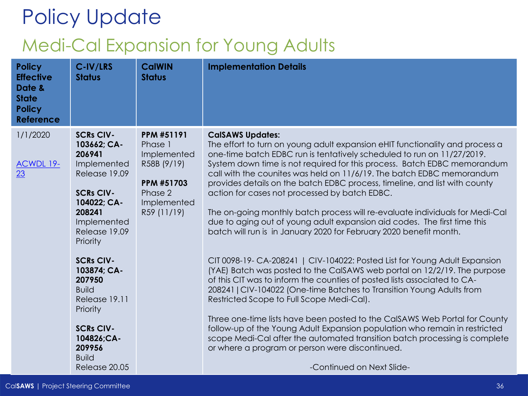## Policy Update Medi-Cal Expansion for Young Adults

| <b>Policy</b><br><b>Effective</b><br>Date &<br><b>State</b><br><b>Policy</b><br><b>Reference</b> | C-IV/LRS<br><b>Status</b>                                                                                                                                                                                                                                                                                                                 | <b>CalWIN</b><br><b>Status</b>                                                                                    | <b>Implementation Details</b>                                                                                                                                                                                                                                                                                                                                                                                                                                                                                                                                                                                                                                                                                                                                                                                                                                                                                                                                                                                                                                                                                                                                                                                                                                                                                                                                                                 |
|--------------------------------------------------------------------------------------------------|-------------------------------------------------------------------------------------------------------------------------------------------------------------------------------------------------------------------------------------------------------------------------------------------------------------------------------------------|-------------------------------------------------------------------------------------------------------------------|-----------------------------------------------------------------------------------------------------------------------------------------------------------------------------------------------------------------------------------------------------------------------------------------------------------------------------------------------------------------------------------------------------------------------------------------------------------------------------------------------------------------------------------------------------------------------------------------------------------------------------------------------------------------------------------------------------------------------------------------------------------------------------------------------------------------------------------------------------------------------------------------------------------------------------------------------------------------------------------------------------------------------------------------------------------------------------------------------------------------------------------------------------------------------------------------------------------------------------------------------------------------------------------------------------------------------------------------------------------------------------------------------|
| 1/1/2020<br>ACWDL 19-<br>23                                                                      | <b>SCRs CIV-</b><br>103662; CA-<br>206941<br>Implemented<br>Release 19.09<br><b>SCRs CIV-</b><br>104022; CA-<br>208241<br>Implemented<br>Release 19.09<br>Priority<br><b>SCRs CIV-</b><br>103874; CA-<br>207950<br><b>Build</b><br>Release 19.11<br>Priority<br><b>SCRs CIV-</b><br>104826;CA-<br>209956<br><b>Build</b><br>Release 20.05 | <b>PPM #51191</b><br>Phase 1<br>Implemented<br>R58B (9/19)<br>PPM #51703<br>Phase 2<br>Implemented<br>R59 (11/19) | <b>CalSAWS Updates:</b><br>The effort to turn on young adult expansion eHIT functionality and process a<br>one-time batch EDBC run is tentatively scheduled to run on 11/27/2019.<br>System down time is not required for this process. Batch EDBC memorandum<br>call with the counites was held on 11/6/19. The batch EDBC memorandum<br>provides details on the batch EDBC process, timeline, and list with county<br>action for cases not processed by batch EDBC.<br>The on-going monthly batch process will re-evaluate individuals for Medi-Cal<br>due to aging out of young adult expansion aid codes. The first time this<br>batch will run is in January 2020 for February 2020 benefit month.<br>CIT 0098-19- CA-208241   CIV-104022: Posted List for Young Adult Expansion<br>(YAE) Batch was posted to the CalSAWS web portal on 12/2/19. The purpose<br>of this CIT was to inform the counties of posted lists associated to CA-<br>208241   CIV-104022 (One-time Batches to Transition Young Adults from<br>Restricted Scope to Full Scope Medi-Cal).<br>Three one-time lists have been posted to the CaISAWS Web Portal for County<br>follow-up of the Young Adult Expansion population who remain in restricted<br>scope Medi-Cal after the automated transition batch processing is complete<br>or where a program or person were discontinued.<br>-Continued on Next Slide- |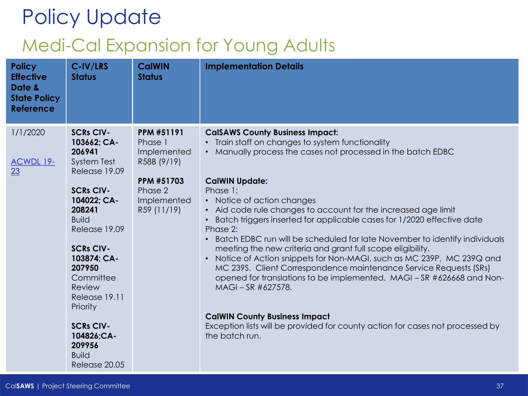## Policy Update Medi-Cal Expansion for Young Adults

| <b>Policy</b><br><b>Effective</b><br>Date &<br><b>State Policy</b><br><b>Reference</b> | C-IV/LRS<br><b>Status</b>                                                                                                                                                                                                                                | <b>CalWIN</b><br><b>Status</b>                             | <b>Implementation Details</b>                                                                                                                                                                                                                                                                                                                                                                                                                                                                                                                                                                                                                                                                                                                                                      |
|----------------------------------------------------------------------------------------|----------------------------------------------------------------------------------------------------------------------------------------------------------------------------------------------------------------------------------------------------------|------------------------------------------------------------|------------------------------------------------------------------------------------------------------------------------------------------------------------------------------------------------------------------------------------------------------------------------------------------------------------------------------------------------------------------------------------------------------------------------------------------------------------------------------------------------------------------------------------------------------------------------------------------------------------------------------------------------------------------------------------------------------------------------------------------------------------------------------------|
| 1/1/2020<br><b>ACWDL 19-</b><br>23                                                     | <b>SCRs CIV-</b><br>103662; CA-<br>206941<br><b>System Test</b><br>Release 19.09                                                                                                                                                                         | PPM #51191<br>Phase 1<br>Implemented<br>R58B (9/19)        | <b>CalSAWS County Business Impact:</b><br>Train staff on changes to system functionality<br>$\bullet$<br>• Manually process the cases not processed in the batch EDBC                                                                                                                                                                                                                                                                                                                                                                                                                                                                                                                                                                                                              |
|                                                                                        | <b>SCRs CIV-</b><br>104022; CA-<br>208241<br><b>Build</b><br>Release 19.09<br><b>SCRs CIV-</b><br>103874; CA-<br>207950<br>Committee<br>Review<br>Release 19.11<br>Priority<br><b>SCRs CIV-</b><br>104826;CA-<br>209956<br><b>Build</b><br>Release 20.05 | <b>PPM #51703</b><br>Phase 2<br>Implemented<br>R59 (11/19) | <b>CalWIN Update:</b><br>Phase 1:<br>• Notice of action changes<br>• Aid code rule changes to account for the increased age limit<br>Batch triggers inserted for applicable cases for 1/2020 effective date<br>Phase 2:<br>Batch EDBC run will be scheduled for late November to identify individuals<br>$\bullet$<br>meeting the new criteria and grant full scope eligibility.<br>Notice of Action snippets for Non-MAGI, such as MC 239P, MC 239Q and<br>$\bullet$<br>MC 239S. Client Correspondence maintenance Service Requests (SRs)<br>opened for translations to be implemented. MAGI - SR #626668 and Non-<br>MAGI-SR #627578.<br><b>CalWIN County Business Impact</b><br>Exception lists will be provided for county action for cases not processed by<br>the batch run. |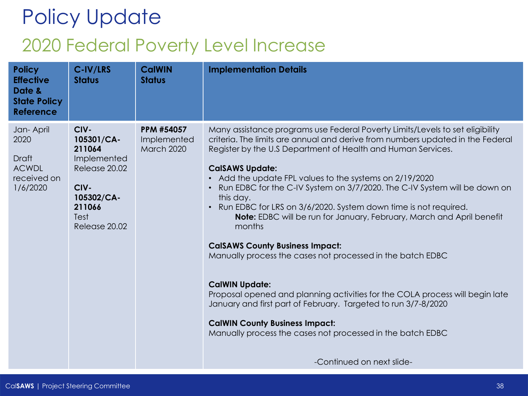## Policy Update 2020 Federal Poverty Level Increase

| <b>Policy</b><br><b>Effective</b><br>Date &<br><b>State Policy</b><br><b>Reference</b> | C-IV/LRS<br><b>Status</b>                                                                                             | <b>CalWIN</b><br><b>Status</b>                        | <b>Implementation Details</b>                                                                                                                                                                                                                                                                                                                                                                                                                                                                                                                                                                                                                                                                                                                                                                                                                                                                                                                                                                                       |
|----------------------------------------------------------------------------------------|-----------------------------------------------------------------------------------------------------------------------|-------------------------------------------------------|---------------------------------------------------------------------------------------------------------------------------------------------------------------------------------------------------------------------------------------------------------------------------------------------------------------------------------------------------------------------------------------------------------------------------------------------------------------------------------------------------------------------------------------------------------------------------------------------------------------------------------------------------------------------------------------------------------------------------------------------------------------------------------------------------------------------------------------------------------------------------------------------------------------------------------------------------------------------------------------------------------------------|
| Jan-April<br>2020<br><b>Draft</b><br><b>ACWDL</b><br>received on<br>1/6/2020           | CIV-<br>105301/CA-<br>211064<br>Implemented<br>Release 20.02<br>CIV-<br>105302/CA-<br>211066<br>Test<br>Release 20.02 | <b>PPM #54057</b><br>Implemented<br><b>March 2020</b> | Many assistance programs use Federal Poverty Limits/Levels to set eligibility<br>criteria. The limits are annual and derive from numbers updated in the Federal<br>Register by the U.S Department of Health and Human Services.<br><b>CalSAWS Update:</b><br>Add the update FPL values to the systems on 2/19/2020<br>$\bullet$<br>Run EDBC for the C-IV System on 3/7/2020. The C-IV System will be down on<br>this day.<br>Run EDBC for LRS on 3/6/2020. System down time is not required.<br>$\bullet$<br>Note: EDBC will be run for January, February, March and April benefit<br>months<br><b>CalSAWS County Business Impact:</b><br>Manually process the cases not processed in the batch EDBC<br><b>CalWIN Update:</b><br>Proposal opened and planning activities for the COLA process will begin late<br>January and first part of February. Targeted to run 3/7-8/2020<br><b>CalWIN County Business Impact:</b><br>Manually process the cases not processed in the batch EDBC<br>-Continued on next slide- |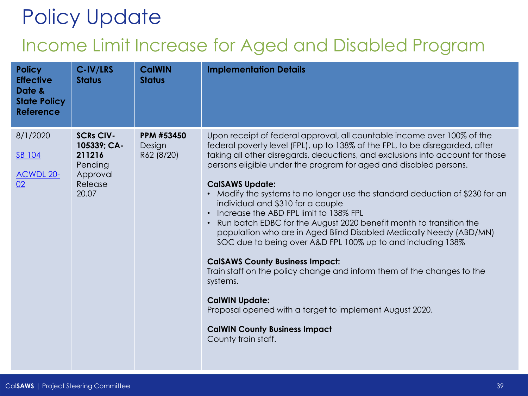#### Income Limit Increase for Aged and Disabled Program

| <b>Policy</b><br><b>Effective</b><br>Date &<br><b>State Policy</b><br><b>Reference</b> | C-IV/LRS<br><b>Status</b>                                                            | <b>CalWIN</b><br><b>Status</b>            | <b>Implementation Details</b>                                                                                                                                                                                                                                                                                                                                                                                                                                                                                                                                                                                                                                                                                                                                                                                                                                                                                                                                                                       |
|----------------------------------------------------------------------------------------|--------------------------------------------------------------------------------------|-------------------------------------------|-----------------------------------------------------------------------------------------------------------------------------------------------------------------------------------------------------------------------------------------------------------------------------------------------------------------------------------------------------------------------------------------------------------------------------------------------------------------------------------------------------------------------------------------------------------------------------------------------------------------------------------------------------------------------------------------------------------------------------------------------------------------------------------------------------------------------------------------------------------------------------------------------------------------------------------------------------------------------------------------------------|
| 8/1/2020<br>SB 104<br><b>ACWDL 20-</b><br>02                                           | <b>SCRs CIV-</b><br>105339; CA-<br>211216<br>Pending<br>Approval<br>Release<br>20.07 | <b>PPM #53450</b><br>Design<br>R62 (8/20) | Upon receipt of federal approval, all countable income over 100% of the<br>federal poverty level (FPL), up to 138% of the FPL, to be disregarded, after<br>taking all other disregards, deductions, and exclusions into account for those<br>persons eligible under the program for aged and disabled persons.<br><b>CalSAWS Update:</b><br>Modify the systems to no longer use the standard deduction of \$230 for an<br>individual and \$310 for a couple<br>Increase the ABD FPL limit to 138% FPL<br>Run batch EDBC for the August 2020 benefit month to transition the<br>population who are in Aged Blind Disabled Medically Needy (ABD/MN)<br>SOC due to being over A&D FPL 100% up to and including 138%<br><b>CalSAWS County Business Impact:</b><br>Train staff on the policy change and inform them of the changes to the<br>systems.<br><b>CalWIN Update:</b><br>Proposal opened with a target to implement August 2020.<br><b>CalWIN County Business Impact</b><br>County train staff. |